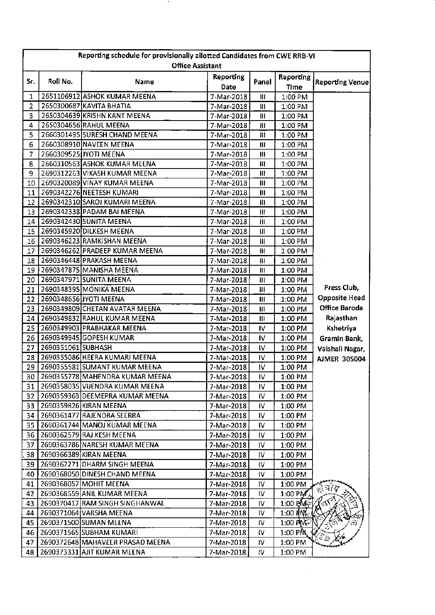|                 | Reporting schedule for provisionally allotted Candidates from CWE RRB-VI<br><b>Office Assistant</b> |                                      |                   |                |                             |                        |  |  |
|-----------------|-----------------------------------------------------------------------------------------------------|--------------------------------------|-------------------|----------------|-----------------------------|------------------------|--|--|
|                 |                                                                                                     |                                      |                   |                |                             |                        |  |  |
| Sr.             | Roll No.                                                                                            | Name                                 | Reporting<br>Date | Panel          | Reporting<br><b>Time</b>    | <b>Reporting Venue</b> |  |  |
| $\mathbf{1}$    |                                                                                                     | 2651106912 ASHOK KUMAR MEENA         | 7-Mar-2018        | $\mathbf{H}$   | 1:00 PM                     |                        |  |  |
| $\overline{2}$  |                                                                                                     | 2650300687 KAVITA BHATIA             | 7-Mar-2018        | $\mathbf{III}$ | 1:00 PM                     |                        |  |  |
| 3               |                                                                                                     | 2650304639 KRISHN KANT MEENA         | 7-Mar-2018        | Ш              | 1:00 PM                     |                        |  |  |
| 4               |                                                                                                     | 2650304656 RAHUL MEENA               | 7-Mar-2018        | 批              | 1:00 PM                     |                        |  |  |
| 5               |                                                                                                     | 2660301495 SURESH CHAND MEENA        | 7-Mar-2018        | 111            | 1:00 PM                     |                        |  |  |
| 6               |                                                                                                     | 2660308910 NAVEEN MEENA              | 7-Mar-2018        | $\mathbf{III}$ | 1:00 PM                     |                        |  |  |
| $\overline{7}$  |                                                                                                     | 2660309525 JYOTI MEENA               | 7-Mar-2018        | $\mathbf{III}$ | 1:00 PM                     |                        |  |  |
| 8               |                                                                                                     | 2660310563 ASHOK KUMAR MEENA         | 7-Mar-2018        | Ш              | 1:00 PM                     |                        |  |  |
| 9               |                                                                                                     | 2690312263 VIKASH KUMAR MEENA        | 7-Mar-2018        | $\mathbf{H}$   | 1:00 PM                     |                        |  |  |
| 10              |                                                                                                     | 2690320089 VINAY KUMAR MEENA         | 7-Mar-2018        | Ш              | 1:00 PM                     |                        |  |  |
| 11              |                                                                                                     | 2690342276 NEETESH KUMARI            | 7-Mar-2018        | Ш              | 1:00 PM                     |                        |  |  |
| 12 <sup>2</sup> |                                                                                                     | 2690342310 SAROJ KUMARI MEENA        | 7-Mar-2018        | $\mathbf{H}$   | 1:00 PM                     |                        |  |  |
| 13              |                                                                                                     | 2690342338 PADAM BAI MEENA           | 7-Mar-2018        | HI             | 1:00 PM                     |                        |  |  |
| 14              |                                                                                                     | 2690342430 SUNITA MEENA              | 7-Mar-2018        | Ш              | 1:00 PM                     |                        |  |  |
| 15              |                                                                                                     | 2690345920 DILKESH MEENA             | 7-Mar-2018        | Ш              | 1:00 PM                     |                        |  |  |
| 16              |                                                                                                     | 2690346223 RAMKISHAN MEENA           | 7-Mar-2018        | $\mathbf{H}$   | 1:00 PM                     |                        |  |  |
| 17              |                                                                                                     | 2690346262 PRADEEP KUMAR MEENA       | 7-Mar-2018        | Ш              | 1:00 PM                     |                        |  |  |
| 18              |                                                                                                     | 2690346448 PRAKASH MEENA             | 7-Mar-2018        | Ш              | 1:00 PM                     |                        |  |  |
| 19              |                                                                                                     | ∱2690347875 MANISHA MEENA            | 7-Mar-2018        | Ш              | 1:00 PM                     |                        |  |  |
| 20              |                                                                                                     | 2690347971 SUNITA MEENA              | 7-Mar-2018        | Ш              | 1:00 PM                     |                        |  |  |
| 21              |                                                                                                     | 2690348395 MONIKA MEENA              | 7-Mar-2018        | $\mathbf{III}$ | 1:00 PM                     | Press Club,            |  |  |
| 22              |                                                                                                     | 2690348656 JYOTI MEENA               | 7-Mar-2018        | Ш              | 1:00 PM                     | <b>Opposite Head</b>   |  |  |
| 23              |                                                                                                     | 2690349809 CHETAN AVATAR MEENA       | 7-Mar-2018        | Ш              | 1:00 PM                     | <b>Office Baroda</b>   |  |  |
| 24              |                                                                                                     | 2690349832 RAHUL KUMAR MEENA         | 7-Mar-2018        | Ш              | 1:00 PM                     | Rajasthan              |  |  |
| 25              |                                                                                                     | 2690349903 PRABHAKAR MEENA           | 7-Mar-2018        | IV.            | 1:00 PM                     | Kshetriya              |  |  |
| 26              |                                                                                                     | 2690349945 GOPESH KUMAR              | 7-Mar-2018        | IV.            | 1:00 PM                     | Gramin Bank,           |  |  |
| 27              | 2690351061 SUBHASH                                                                                  |                                      | 7-Mar-2018        | IV.            | 1:00 PM                     | Vaishali Nagar,        |  |  |
| 28              |                                                                                                     | 2690355086 HEERA KUMARI MEENA        | 7-Mar-2018        | IV             | 1:00 PM                     | <b>AJMER 305004</b>    |  |  |
| 29              |                                                                                                     | 2690355581 SUMANT KUMAR MEENA        | 7-Mar-2018        | IV.            | 1:00 PM                     |                        |  |  |
|                 |                                                                                                     | 30   2690355778 MAHENDRA KUMAR MEENA | 7-Mar-2018        | IV             | 1:00 PM                     |                        |  |  |
|                 |                                                                                                     | 31   2690358035 VIJENDRA KUMAR MEENA | 7-Mar-2018        | IV             | 1:00 PM                     |                        |  |  |
| 32 <sub>2</sub> |                                                                                                     | 2690359363 DEEMEPRA KUMAR MEENA      | 7-Mar-2018        | IV.            | 1:00 PM                     |                        |  |  |
|                 |                                                                                                     | 33 2690359826 KIRAN MEENA            | 7-Mar-2018        | IV             | 1:00 PM                     |                        |  |  |
|                 |                                                                                                     | 34 2690361477 RAJENDRA SEERRA        | 7-Mar-2018        | I۷             | 1:00 PM                     |                        |  |  |
|                 |                                                                                                     | 35   2690361744 MANOJ KUMAR MEENA    | 7-Mar-2018        | IV             | 1:00 PM                     |                        |  |  |
| 36 <sub>1</sub> |                                                                                                     | 2690362579 RAJ KESH MEENA            | 7-Mar-2018        | IV             | 1:00 PM                     |                        |  |  |
| 37              |                                                                                                     | 2690363786 NARESH KUMAR MEENA        | 7-Mar-2018        | IV             | 1:00 PM                     |                        |  |  |
| 38 <sup>1</sup> |                                                                                                     | 2690366389 KIRAN MEENA               | 7-Mar-2018        | IV             | 1:00 PM                     |                        |  |  |
|                 |                                                                                                     | 39 2690367271 DHARM SINGH MEENA      | 7-Mar-2018        | ΙV             | $1:00$ PM                   |                        |  |  |
|                 |                                                                                                     | 40 2690368050 DINESH CHAND MEENA     | 7-Mar-2018        | IV             | 1:00 PM                     |                        |  |  |
| 41              |                                                                                                     | 2690368057 MOHIT MEENA               | 7-Mar-2018        | I۷             | 1:00 PM                     |                        |  |  |
| 42              |                                                                                                     | 2690368559 ANIL KUMAR MEENA          | 7-Mar-2018        | IV.            | $1:00$ PM                   | ्रे ने/ये              |  |  |
|                 |                                                                                                     | 43 2690370417 RAM SINGH SINGHANWAL   | 7-Mar-2018        | ΙV             | $1:00$ PM $\ddot{\text{M}}$ |                        |  |  |
|                 |                                                                                                     | 44 2690371064 VARSHA MEENA           | 7-Mar-2018        | IV.            | $1:00$ HNC                  |                        |  |  |
|                 |                                                                                                     | 45 2690371500 SUMAN MEENA            | 7-Mar-2018        | 1V.            | $1:00$ PM $\approx$         |                        |  |  |
|                 |                                                                                                     | 46   2690371565 SUBHAM KUMARI        | 7-Mar-2018        | I۷             | $1:00$ PM                   |                        |  |  |
|                 |                                                                                                     | 47 2690372648 MAHAVEER PRASAD MEENA  | 7-Mar-2018        | IV.            | 1:00 PM                     |                        |  |  |
|                 |                                                                                                     | 48 2690373331 AJIT KUMAR MEENA       | 7-Mar-2018        | IV.            | 1:00 PM                     |                        |  |  |
|                 |                                                                                                     |                                      |                   |                |                             |                        |  |  |

 $\sim 10^6$ 

 $\ddot{\phantom{1}}$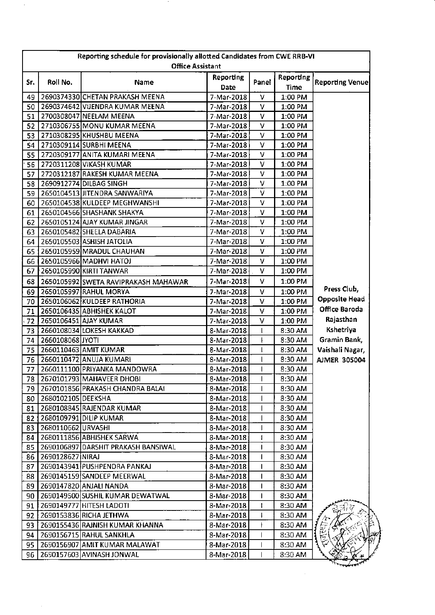|            | Reporting schedule for provisionally allotted Candidates from CWE RRB-VI<br><b>Office Assistant</b> |                                       |                          |       |                          |                        |  |  |
|------------|-----------------------------------------------------------------------------------------------------|---------------------------------------|--------------------------|-------|--------------------------|------------------------|--|--|
|            |                                                                                                     |                                       |                          |       |                          |                        |  |  |
| Sr.        | Roll No.                                                                                            | Name                                  | <b>Reporting</b><br>Date | Panel | <b>Reporting</b><br>Time | <b>Reporting Venue</b> |  |  |
| 49         |                                                                                                     | 2690374330 CHETAN PRAKASH MEENA       | 7-Mar-2018               | v     | 1:00 PM                  |                        |  |  |
| 50         |                                                                                                     | 2690374642 VIJENDRA KUMAR MEENA       | 7-Mar-2018               | v     | 1:00 PM                  |                        |  |  |
| 51         |                                                                                                     | 2700308047 NEELAM MEENA               | 7-Mar-2018               | v     | 1:00 PM                  |                        |  |  |
| 52         |                                                                                                     | 2710306755 MONU KUMAR MEENA           | 7-Mar-2018               | ٧     | 1:00 PM                  |                        |  |  |
| 53         |                                                                                                     | 2710308295 KHUSHBU MEENA              | 7-Mar-2018               | v     | 1:00 PM                  |                        |  |  |
| 54         |                                                                                                     | 2710309114 SURBHI MEENA               | 7-Mar-2018               | v     | 1:00 PM                  |                        |  |  |
| 55         |                                                                                                     | 2720309177 ANITA KUMARI MEENA         | 7-Mar-2018               | v     | 1:00 PM                  |                        |  |  |
| 56         |                                                                                                     | 2720311208 VIKASH KUMAR               | 7-Mar-2018               | v     | $1:00$ PM                |                        |  |  |
| 57         |                                                                                                     | 2720312187 RAKESH KUMAR MEENA         | 7-Mar-2018               | v     | 1:00 PM                  |                        |  |  |
| 58         |                                                                                                     | 2690912774 DILBAG SINGH               | 7-Mar-2018               | v     | 1:00 PM                  |                        |  |  |
| 59         |                                                                                                     | 2650104513 JITENDRA SANWARIYA         | 7-Mar-2018               | V     | 1:00 PM                  |                        |  |  |
| 60         |                                                                                                     | 2650104538 KULDEEP MEGHWANSHI         | 7-Mar-2018               | V     | 1:00 PM                  |                        |  |  |
| 61         |                                                                                                     | 2650104566 SHASHANK SHAKYA            | 7-Mar-2018               | v     | 1:00 PM                  |                        |  |  |
| 62         |                                                                                                     | 2650105124 AJAY KUMAR JINGAR          | 7-Mar-2018               | v     | 1:00 PM                  |                        |  |  |
| 63         |                                                                                                     | 2650105482 SHEELA DABARIA             | 7-Mar-2018               | V     | 1:00 PM                  |                        |  |  |
| 64         |                                                                                                     | 2650105503 ASHISH JATOLIA             | 7-Mar-2018               | v     | 1:00 PM                  |                        |  |  |
| 65         |                                                                                                     | 2650105959 MRADUL CHAUHAN             | 7-Mar-2018               | v     | 1:00 PM                  |                        |  |  |
| 66         |                                                                                                     | 2650105966 MADHVI HATOJ               | 7-Mar-2018               | v     | 1:00 PM                  |                        |  |  |
| 67         |                                                                                                     | 2650105990 KIRTI TANWAR               | 7-Mar-2018               | V     | 1:00 PM                  |                        |  |  |
| 68         |                                                                                                     | 2650105992 SWETA RAVIPRAKASH MAHAWAR  | 7-Mar-2018               | v     | 1:00 PM                  |                        |  |  |
| 69         |                                                                                                     | 2650105997 RAHUL MORYA                | 7-Mar-2018               | ٧     | 1:00 PM                  | Press Club,            |  |  |
| 70         |                                                                                                     | 2650106062 KULDEEP RATHORIA           | 7-Mar-2018               | v     | 1:00 PM                  | <b>Opposite Head</b>   |  |  |
| 71         |                                                                                                     | 2650106435 ABHISHEK KALOT             | 7-Mar-2018               | v     | 1:00 PM                  | Office Baroda          |  |  |
| 72         |                                                                                                     | 2650106451 AJAY KUMAR                 | 7-Mar-2018               | ٧     | 1:00 PM                  | Rajasthan              |  |  |
| 73         |                                                                                                     | 2660108034 LOKESH KAKKAD              | 8-Mar-2018               | ŧ     | 8:30 AM                  | Kshetriya              |  |  |
| 74         | 2660108068 JYOTI                                                                                    |                                       | 8-Mar-2018               |       | 8:30 AM                  | Gramin Bank,           |  |  |
| 75         |                                                                                                     | 2660110463 AMIT KUMAR                 | 8-Mar-2018               | ŧ     | 8:30 AM                  | Vaishali Nagar,        |  |  |
| 76         |                                                                                                     | 2660110472 ANUJA KUMARI               | 8-Mar-2018               |       | 8:30 AM                  | <b>AIMER 305004</b>    |  |  |
| 77         |                                                                                                     | 2660111100 PRIYANKA MANDOWRA          | 8-Mar-2018               |       | 8:30 AM                  |                        |  |  |
|            |                                                                                                     | 78 2670101793 MAHAVEER DHOBI          | 8-Mar-2018               |       | 8:30 AM                  |                        |  |  |
|            |                                                                                                     | 79   2670101856 PRAKASH CHANDRA BALAI | 8-Mar-2018               | I.    | 8:30 AM                  |                        |  |  |
| 80         | 2680102105 DEEKSHA                                                                                  |                                       | 8-Mar-2018               |       | 8:30 AM                  |                        |  |  |
|            |                                                                                                     | 2680108845 RAJENDAR KUMAR             | 8-Mar-2018               |       | 8:30 AM                  |                        |  |  |
| 81         |                                                                                                     | 2680109791 DILIP KUMAR                |                          |       | 8:30 AM                  |                        |  |  |
| 82  <br>83 | 2680110662URVASHI                                                                                   |                                       | 8-Mar-2018<br>8-Mar-2018 |       | 8:30 AM                  |                        |  |  |
|            |                                                                                                     | 2680111856 ABHISHEK SARWA             |                          |       | 8:30 AM                  |                        |  |  |
| 84         |                                                                                                     | 2690106897 DARSHIT PRAKASH BANSIWAL   | 8-Mar-2018               | 1     |                          |                        |  |  |
| 85         |                                                                                                     |                                       | 8-Mar-2018               |       | 8:30 AM                  |                        |  |  |
| 86         | 2690128627 NIRAJ                                                                                    |                                       | 8-Mar-2018               |       | 8:30 AM                  |                        |  |  |
| 87         |                                                                                                     | 2690143941 PUSHPENDRA PANKAJ          | 8-Mar-2018               |       | 8:30 AM                  |                        |  |  |
| 88         |                                                                                                     | 2690145159 SANDEEP MEERWAL            | 8-Mar-2018               |       | 8:30 AM                  |                        |  |  |
| 89         |                                                                                                     | 2690147820 ANJALI NANDA               | 8-Mar-2018               | п     | 8:30 AM                  |                        |  |  |
| 90.        |                                                                                                     | 2690149500 SUSHIL KUMAR DEWATWAL      | 8-Mar-2018               |       | 8:30 AM                  |                        |  |  |
| 91         |                                                                                                     | 2690149777 HITESH LADOTI              | 8-Mar-2018               |       | 8:30 AM                  |                        |  |  |
| 92 I       |                                                                                                     | 2690153836 RICHA JETHWA               | 8-Mar-2018               |       | 8:30 AM                  |                        |  |  |
| 93 I       |                                                                                                     | 2690155436 RAJNISH KUMAR KHANNA       | 8-Mar-2018               |       | 8:30 AM                  |                        |  |  |
| 94         |                                                                                                     | 2690156715 RAHUL SANKHLA              | 8-Mar-2018               | I     | 8:30 AM                  | 卮                      |  |  |
| 95         |                                                                                                     | 2690156907 AMIT KUMAR MALAWAT         | 8-Mar-2018               |       | 8:30 AM                  |                        |  |  |
| 96         |                                                                                                     | 2690157603 AVINASH JONWAL             | 8-Mar-2018               |       | 8:30 AM                  |                        |  |  |

 $\bar{\gamma}$ 

- 7

 $\ddot{\phantom{0}}$ 

 $\hat{\boldsymbol{\beta}}$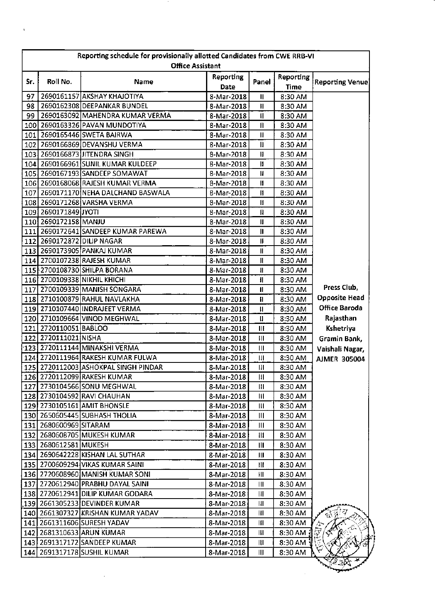|     | Reporting schedule for provisionally allotted Candidates from CWE RRB-VI<br><b>Office Assistant</b> |                                      |                          |                                                   |                          |                        |  |  |
|-----|-----------------------------------------------------------------------------------------------------|--------------------------------------|--------------------------|---------------------------------------------------|--------------------------|------------------------|--|--|
| Sr. | Roll No.                                                                                            | Name                                 | <b>Reporting</b><br>Date | Panel                                             | Reporting<br><b>Time</b> | <b>Reporting Venue</b> |  |  |
| 97  |                                                                                                     | 2690161157 AKSHAY KHAJOTIYA          | 8-Mar-2018               | $\mathbf{II}$                                     | 8:30 AM                  |                        |  |  |
| 98  |                                                                                                     | 2690162308 DEEPANKAR BUNDEL          | 8-Mar-2018               | Ħ                                                 | 8:30 AM                  |                        |  |  |
| 99  |                                                                                                     | 2690163092 MAHENDRA KUMAR VERMA      | 8-Mar-2018               | Ħ                                                 | 8:30 AM                  |                        |  |  |
|     |                                                                                                     | 100 2690163326 PAVAN MUNDOTIYA       | 8-Mar-2018               | Ħ.                                                | 8:30 AM                  |                        |  |  |
|     |                                                                                                     | 101 2690165446 SWETA BAIRWA          | 8-Mar-2018               | $\mathbf \mu$                                     | 8:30 AM                  |                        |  |  |
|     |                                                                                                     | 102 2690166869 DEVANSHU VERMA        | 8-Mar-2018               | $\mathbf{I}$                                      | 8:30 AM                  |                        |  |  |
|     |                                                                                                     | 103 2690166873 JITENDRA SINGH        | 8-Mar-2018               | $\mathbf{H}$                                      | 8:30 AM                  |                        |  |  |
|     |                                                                                                     | 104 2690166961 SUNIL KUMAR KULDEEP   | 8-Mar-2018               | Ħ                                                 | 8:30 AM                  |                        |  |  |
|     |                                                                                                     | 105 2690167193 SANDEEP SOMAWAT       | 8-Mar-2018               | Ħ                                                 | 8:30 AM                  |                        |  |  |
|     |                                                                                                     | 106 2690168068 RAJESH KUMAR VERMA    | 8-Mar-2018               | И                                                 | 8:30 AM                  |                        |  |  |
|     |                                                                                                     | 107 2690171170 NEHA DALCHAND BASWALA | 8-Mar-2018               | Ħ                                                 | 8:30 AM                  |                        |  |  |
|     |                                                                                                     | 108 2690171268 VARSHA VERMA          | 8-Mar-2018               | Ħ                                                 | 8:30 AM                  |                        |  |  |
|     | 109 2690171849 JYOTI                                                                                |                                      | 8-Mar-2018               | $\mathbf{\mathbf{\mathsf{I}}}\mathbf{\mathsf{I}}$ | 8:30 AM                  |                        |  |  |
|     | 110 2690172158 MANJU                                                                                |                                      | 8-Mar-2018               | и                                                 | 8:30 AM                  |                        |  |  |
|     |                                                                                                     | 111 2690172641 SANDEEP KUMAR PAREWA  | 8-Mar-2018               | $\mathbf{I}$                                      | 8:30 AM                  |                        |  |  |
|     | 112 2690172872 DILIP NAGAR                                                                          |                                      | 8-Mar-2018               | Ш                                                 | 8:30 AM                  |                        |  |  |
|     |                                                                                                     | 113 2690173905 PANKAJ KUMAR          | 8-Mar-2018               | $\mathbf{H}$                                      | 8:30 AM                  |                        |  |  |
|     |                                                                                                     | 114 2700107238 RAJESH KUMAR          | 8-Mar-2018               | $\ensuremath{\mathsf{H}}$                         | 8:30 AM                  |                        |  |  |
|     |                                                                                                     | 115 2700108730 SHILPA BORANA         | 8-Mar-2018               | Ш                                                 | 8:30 AM                  |                        |  |  |
|     |                                                                                                     | 116 2700109338 NIKHIL KHICHI         | 8-Mar-2018               | $\mathbf{I}$                                      | 8:30 AM                  |                        |  |  |
|     |                                                                                                     | 117 2700109339 MANISH SONGARA        | 8-Mar-2018               | $\mathbf{I}$                                      | 8:30 AM                  | Press Club,            |  |  |
|     |                                                                                                     | 118 2710100879 RAHUL NAVLAKHA        | 8-Mar-2018               | Ш                                                 | 8:30 AM                  | <b>Opposite Head</b>   |  |  |
|     |                                                                                                     | 119 2710107440 INDRAJEET VERMA       | 8-Mar-2018               | Ħ                                                 | 8:30 AM                  | Office Baroda          |  |  |
|     |                                                                                                     | 120 2710109664 VINOD MEGHWAL         | 8-Mar-2018               | Ħ                                                 | 8:30 AM                  | Rajasthan              |  |  |
|     | 121 2720110051 BABLOO                                                                               |                                      | 8-Mar-2018               | $\mathbf{II}$                                     | 8:30 AM                  | Kshetriya              |  |  |
|     | 122 2720111021 NISHA                                                                                |                                      | 8-Mar-2018               | Ш                                                 | 8:30 AM                  | Gramin Bank,           |  |  |
|     |                                                                                                     | 123 2720111144 MINAKSHI VERMA        | 8-Mar-2018               | Ш                                                 | 8:30 AM                  | Vaishali Nagar,        |  |  |
|     |                                                                                                     | 124 2720111964 RAKESH KUMAR FULWA    | 8-Mar-2018               | Ш                                                 | 8:30 AM                  | <b>AJMER 305004</b>    |  |  |
|     |                                                                                                     | 125 2720112003 ASHOKPAL SINGH PINDAR | 8-Mar-2018               | $\mathbf{H}$                                      | 8:30 AM                  |                        |  |  |
|     |                                                                                                     | 126 2720112099 RAKESH KUMAR          | 8-Mar-2018               | $\begin{array}{c} \hline \textbf{H} \end{array}$  | 8:30 AM                  |                        |  |  |
|     |                                                                                                     | 127 2730104566 SONU MEGHWAL          | 8-Mar-2018               | Ш                                                 | 8:30 AM                  |                        |  |  |
|     |                                                                                                     | 128 2730104592 RAVI CHAUHAN          | 8-Mar-2018               | III                                               | 8:30 AM                  |                        |  |  |
|     |                                                                                                     | 129 2730105161 AMIT BHONSLE          | 8-Mar-2018               | Ш                                                 | 8:30 AM                  |                        |  |  |
|     |                                                                                                     | 130 2650605445 SUBHASH THOLIA        | 8-Mar-2018               | Ш                                                 | 8:30 AM                  |                        |  |  |
|     | 131 2680600969 SITARAM                                                                              |                                      | 8-Mar-2018               | Ш                                                 | 8:30 AM                  |                        |  |  |
|     |                                                                                                     | 132   2680608705 MUKESH KUMAR        | 8-Mar-2018               | Ш                                                 | 8:30 AM                  |                        |  |  |
|     | 133 2680612581 MUKESH                                                                               |                                      | 8-Mar-2018               | Ш                                                 | 8:30 AM                  |                        |  |  |
|     |                                                                                                     | 134 2690642228 KISHAN LAL SUTHAR     | 8-Mar-2018               | Ш                                                 | 8:30 AM                  |                        |  |  |
|     |                                                                                                     | 135 2700609294 VIKAS KUMAR SAINI     | 8-Mar-2018               | Ш                                                 | 8:30 AM                  |                        |  |  |
|     |                                                                                                     | 136 2720608960 MANISH KUMAR SONI     | 8-Mar-2018               | Ш                                                 | 8:30 AM                  |                        |  |  |
|     |                                                                                                     | 137 2720612940 PRABHU DAYAL SAINI    | 8-Mar-2018               | Ш                                                 | 8:30 AM                  |                        |  |  |
|     |                                                                                                     | 138 2720612941 DILIP KUMAR GODARA    | 8-Mar-2018               | Ш                                                 | 8:30 AM                  |                        |  |  |
|     |                                                                                                     | 139 2661305233 DEVINDER KUMAR        | 8-Mar-2018               | Ш                                                 | 8:30 AM                  |                        |  |  |
|     |                                                                                                     | 140 2661307327 KRISHAN KUMAR YADAV   | 8-Mar-2018               | Ш                                                 | 8:30 AM                  | 14                     |  |  |
|     |                                                                                                     | 141 2661311606 SURESH YADAV          | 8-Mar-2018               | Ш                                                 | 8:30 AM                  |                        |  |  |
|     |                                                                                                     | 142 2681310633 ARUN KUMAR            | 8-Mar-2018               | Ш                                                 | $8:30$ AM $\ddot{f}$     |                        |  |  |
|     |                                                                                                     | 143 2691317172 SANDEEP KUMAR         | 8-Mar-2018               | Ш                                                 | $8:30$ AM $\frac{3}{2}$  |                        |  |  |
|     |                                                                                                     | 144 2691317178 SUSHIL KUMAR          | 8-Mar-2018               | Ш                                                 | 8:30 AM                  |                        |  |  |
|     |                                                                                                     |                                      |                          |                                                   |                          | 医欧土                    |  |  |

í,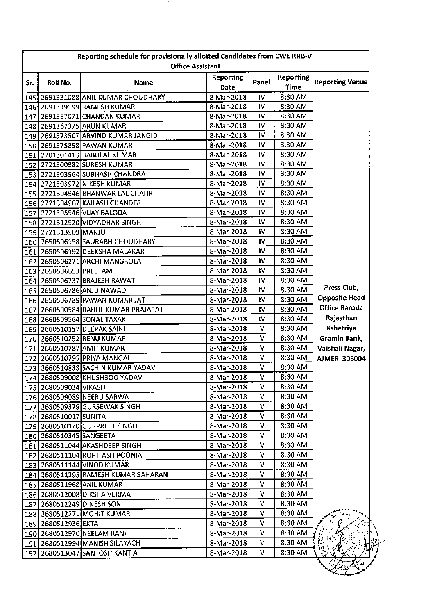| Reporting schedule for provisionally allotted Candidates from CWE RRB-VI<br><b>Office Assistant</b> |                         |                                                                     |                   |           |                   |                        |  |
|-----------------------------------------------------------------------------------------------------|-------------------------|---------------------------------------------------------------------|-------------------|-----------|-------------------|------------------------|--|
| Sr.                                                                                                 | Roll No.                | Name                                                                | Reporting<br>Date | Panel     | Reporting<br>Time | <b>Reporting Venue</b> |  |
|                                                                                                     |                         | 145 2691331088 ANIL KUMAR CHOUDHARY                                 | 8-Mar-2018        | IV.       | 8:30 AM           |                        |  |
|                                                                                                     |                         | 146 2691339199 RAMESH KUMAR                                         | 8-Mar-2018        | 1V        | 8:30 AM           |                        |  |
|                                                                                                     |                         | 147 2691357071 CHANDAN KUMAR                                        | 8-Mar-2018        | IV        | 8:30 AM           |                        |  |
|                                                                                                     |                         | 148 2691367375 ARUN KUMAR                                           | 8-Mar-2018        | IV        | 8:30 AM           |                        |  |
|                                                                                                     |                         | 149   2691373507 ARVIND KUMAR JANGID                                | 8-Mar-2018        | IV        | 8:30 AM           |                        |  |
|                                                                                                     |                         | 150 2691375898 PAWAN KUMAR                                          | 8-Mar-2018        | IV        | 8:30 AM           |                        |  |
|                                                                                                     |                         | 151 2701301413 BABULAL KUMAR                                        | 8-Mar-2018        | IV.       | 8:30 AM           |                        |  |
|                                                                                                     |                         | 152 2721300982 SURESH KUMAR                                         | 8-Mar-2018        | IV        | 8:30 AM           |                        |  |
|                                                                                                     |                         | 153 2721303964 SUBHASH CHANDRA                                      | 8-Mar-2018        | IV        | 8:30 AM           |                        |  |
|                                                                                                     |                         | 154 2721303972 NIKESH KUMAR                                         | 8-Mar-2018        | IV.       | 8:30 AM           |                        |  |
|                                                                                                     |                         | 155 2721304946 BHANWAR LAL CHAHR                                    | 8-Mar-2018        | IV        | 8:30 AM           |                        |  |
|                                                                                                     |                         | 156 2721304967 KAILASH CHANDER                                      | 8-Mar-2018        | IV        | 8:30 AM           |                        |  |
|                                                                                                     |                         | 157 2721305946 VIJAY BALODA                                         | 8-Mar-2018        | IV        | 8:30 AM           |                        |  |
|                                                                                                     |                         | 158 2721312920 VIDYADHAR SINGH                                      | 8-Mar-2018        | IV        | 8:30 AM           |                        |  |
|                                                                                                     | 159 2721313909 MANJU    |                                                                     | 8-Mar-2018        | IV        | 8:30 AM           |                        |  |
|                                                                                                     |                         | 160 2650506158 SAURABH CHOUDHARY                                    | 8-Mar-2018        | IV        | 8:30 AM           |                        |  |
|                                                                                                     |                         | 161 2650506192 DEEKSHA MALAKAR                                      | 8-Mar-2018        | IV        | 8:30 AM           |                        |  |
|                                                                                                     |                         | 162 2650506271 ARCHI MANGROLA                                       | 8-Mar-2018        | IV        | 8:30 AM           |                        |  |
|                                                                                                     | 163 2650506653 PREETAM  |                                                                     | 8-Mar-2018        | IV.       | 8:30 AM           |                        |  |
|                                                                                                     |                         | 164 2650506737 BRAJESH RAWAT                                        | 8-Mar-2018        | IV        | 8:30 AM           |                        |  |
|                                                                                                     |                         | 165 2650506786 ANJU NAWAD                                           | 8-Mar-2018        | IV.       | 8:30 AM           | Press Club,            |  |
|                                                                                                     |                         | 166 2650506789 PAWAN KUMAR JAT                                      | 8-Mar-2018        | IV        | 8:30 AM           | <b>Opposite Head</b>   |  |
| 167                                                                                                 |                         | 2660500584 RAHUL KUMAR PRAJAPAT                                     | 8-Mar-2018        | IV        | 8:30 AM           | Office Baroda          |  |
|                                                                                                     |                         | 168 2660509564 SONAL TAXAK                                          | 8-Mar-2018        | IV.       | 8:30 AM           | Rajasthan              |  |
|                                                                                                     |                         | 169 2660510157 DEEPAK SAINI                                         | 8-Mar-2018        | v         | 8:30 AM           | Kshetriya              |  |
| 170                                                                                                 |                         | 2660510252 RENU KUMARI                                              | 8-Mar-2018        | ٧         | 8:30 AM           | Gramin Bank,           |  |
|                                                                                                     |                         | 171 2660510787 AMIT KUMAR                                           | 8-Mar-2018        | V         | 8:30 AM           | Vaishali Nagar,        |  |
|                                                                                                     |                         | 172 2660510795 PRIYA MANGAL                                         | 8-Mar-2018        | v         | 8:30 AM           | <b>AJMER 305004</b>    |  |
|                                                                                                     |                         | 173 2660510838 SACHIN KUMAR YADAV                                   | 8-Mar-2018        | ٧         | 8:30 AM           |                        |  |
|                                                                                                     |                         | 174 2680509008 KHUSHBOO YADAV                                       | 8-Mar-2018        | $-\nabla$ | 8:30 AM           |                        |  |
|                                                                                                     | 175 2680509034 VIKASH   |                                                                     | 8-Mar-2018        | V         | 8:30 AM           |                        |  |
|                                                                                                     |                         | 176 2680509089 NEERU SARWA                                          | 8-Mar-2018        | ۷         | 8:30 AM           |                        |  |
|                                                                                                     |                         | 177 2680509379 GURSEWAK SINGH                                       | 8-Mar-2018        | v         | 8:30 AM           |                        |  |
|                                                                                                     | 178 2680510017 SUNITA   |                                                                     | 8-Mar-2018        | V         | 8:30 AM           |                        |  |
|                                                                                                     |                         | 179 2680510170 GURPREET SINGH                                       | 8-Mar-2018        | v         | 8:30 AM           |                        |  |
|                                                                                                     | 180 2680510345 SANGEETA |                                                                     | 8-Mar-2018        | v         | 8:30 AM           |                        |  |
|                                                                                                     |                         | 181 2680511044 AKASHDEEP SINGH                                      | 8-Mar-2018        | V         | 8:30 AM           |                        |  |
|                                                                                                     |                         | 182 2680511104 ROHITASH POONIA                                      | 8-Mar-2018        | V         | 8:30 AM           |                        |  |
|                                                                                                     |                         | 183 2680511144 VINOD KUMAR                                          | 8-Mar-2018        | v         | 8:30 AM           |                        |  |
|                                                                                                     |                         | 184   2680511295 RAMESH KUMAR SAHARAN                               | 8-Mar-2018        | v         | 8:30 AM           |                        |  |
|                                                                                                     |                         | 185 2680511968 ANIL KUMAR                                           | 8-Mar-2018        | V         | 8:30 AM           |                        |  |
|                                                                                                     |                         |                                                                     |                   | ٧         | 8:30 AM           |                        |  |
|                                                                                                     |                         | 186 2680512008 DIKSHA VERMA                                         | 8-Mar-2018        |           |                   |                        |  |
|                                                                                                     |                         | 187 2680512249 DINESH SONI                                          | 8-Mar-2018        | v         | 8:30 AM           |                        |  |
|                                                                                                     |                         | 188 2680512271 MOHIT KUMAR                                          | 8-Mar-2018        | v         | 8:30 AM           |                        |  |
|                                                                                                     | 189 2680512936 EKTA     |                                                                     | 8-Mar-2018        | V         | 8:30 AM           |                        |  |
|                                                                                                     |                         | 190 2680512970 NEELAM RANI                                          | 8-Mar-2018        | V         | 8:30 AM           | ≅<br>‴                 |  |
|                                                                                                     |                         | 191   2680512994   MANISH SILAYACH<br>192 2680513047 SANTOSH KANTIA | 8-Mar-2018        | V         | 8:30 AM           | ţ۴                     |  |
|                                                                                                     |                         |                                                                     | 8-Mar-2018        | v         | 8:30 AM           |                        |  |

- 11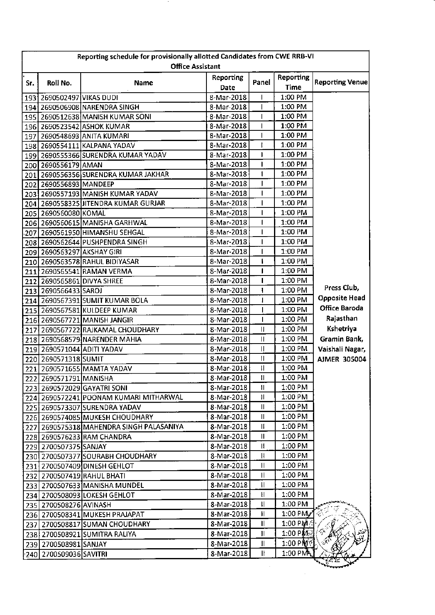| <b>Reporting</b><br>Reporting<br><b>Reporting Venue</b><br>Panel<br>Roll No.<br>Sr.<br>Name<br><b>Time</b><br>Date<br>193 2690502497 VIKAS DUDI<br>1:00 PM<br>8-Mar-2018<br>T<br>1:00 PM<br>194 2690506908 NARENDRA SINGH<br>8-Mar-2018<br>1:00 PM<br>8-Mar-2018<br>195 2690512638 MANISH KUMAR SONI<br>8-Mar-2018<br>1:00 PM<br>196 2690523542 ASHOK KUMAR<br>T<br>1:00 PM<br>8-Mar-2018<br>$\mathbf{I}$<br>197 2690548693 ANITA KUMARI<br>1:00 PM<br>8-Mar-2018<br>t<br>198 2690554111 KALPANA YADAV<br>1:00 PM<br>8-Mar-2018<br>ł.<br>199 2690555366 SURENDRA KUMAR YADAV<br>1:00 PM<br>8-Mar-2018<br>200 2690556179 AMAN<br>1:00 PM<br>201 2690556356 SURENDRA KUMAR JAKHAR<br>8-Mar-2018<br>$\mathbf{1}$<br>1:00 PM<br>8-Mar-2018<br>202 2690556893 MANDEEP<br>1:00 PM<br>T<br>203 2690557193 MANISH KUMAR YADAV<br>8-Mar-2018<br>1:00 PM<br>8-Mar-2018<br>204 2690558325 JITENDRA KUMAR GURJAR<br>1:00 PM<br>8-Mar-2018<br>205 2690560080 KOMAL<br>1<br>1:00 PM<br>206 2690560615 MANISHA GARHWAL<br>8-Mar-2018<br>1<br>1:00 PM<br>8-Mar-2018<br>Т<br>207 2690561950 HIMANSHU SEHGAL<br>1:00 PM<br>8-Mar-2018<br>Т<br>208 2690562644 PUSHPENDRA SINGH<br>1:00 PM<br>8-Mar-2018<br>209 2690563297 AKSHAY GIRI<br>1:00 PM<br>8-Mar-2018<br>210 2690563578 RAHUL BIDIYASAR<br>ł<br>8-Mar-2018<br>1:00 PM<br>211 2690565541 RAMAN VERMA<br>ı<br>1:00 PM<br>8-Mar-2018<br>212 2690565861 DIVYA SHREE<br>Press Club,<br>1:00 PM<br>213 2690566433 SAROJ<br>8-Mar-2018<br>ı<br><b>Opposite Head</b><br>1:00 PM<br>8-Mar-2018<br>I<br>214 2690567391 SUMIT KUMAR BOLA<br>Office Baroda<br>1:00 PM<br>8-Mar-2018<br>215 2690567581 KULDEEP KUMAR<br>Rajasthan<br>1:00 PM<br>8-Mar-2018<br>216 2690567721 MANISH JANGIR<br>ı<br>Kshetriya<br>1:00 PM<br>8-Mar-2018<br>П<br>217 2690567722 RAJKAMAL CHOUDHARY<br>Gramin Bank,<br>8-Mar-2018<br>$\mathbf{I}$<br>1:00 PM<br>218 2690568579 NARENDER MAHIA<br>$\mathbf{I}$<br>1:00 PM<br>8-Mar-2018<br>Vaishali Nagar,<br>219 2690571044 ADITI YADAV<br>220 2690571318 SUMIT<br>8-Mar-2018<br>Ħ<br>1:00 PM<br><b>AJMER 305004</b><br>$\mathbf{H}$<br>1:00 PM<br>221 2690571655 MAMTA YADAV<br>8-Mar-2018<br>8-Mar-2018<br>$\pmb{\text{II}}$<br>1:00 PM<br>222 2690571791 MANISHA<br>Ш<br>1:00 PM<br>8-Mar-2018<br>223 2690572029 GAYATRI SONI<br>1:00 PM<br>8-Mar-2018<br>11<br>224 2690572241 POONAM KUMARI MITHARWAL<br>Ш<br>1:00 PM<br>225 2690573307 SURENDRA YADAV<br>8-Mar-2018<br>1:00 PM<br>$\mathbf l$<br>8-Mar-2018<br>226 2690574085 MUKESH CHOUDHARY<br>1:00 PM<br>227 2690575318 MAHENDRA SINGH PALASANIYA<br>8-Mar-2018<br>Ħ<br>1:00 PM<br>8-Mar-2018<br>Ш<br>228 2690576233 RAM CHANDRA<br>1:00 PM<br>229 2700507375 SANJAY<br>8-Mar-2018<br>Ш<br>1:00 PM<br>8-Mar-2018<br>Ħ<br>230 2700507377 SOURABH CHOUDHARY<br>Ш<br>1:00 PM<br>8-Mar-2018<br>231 2700507409 DINESH GEHLOT<br>1:00 PM<br>8-Mar-2018<br>$\mathbf l$<br>232 2700507419 RAHUL BHATI<br>1:00 PM<br>8-Mar-2018<br>Π<br>233 2700507633 MANISHA MUNDEL<br>8-Mar-2018<br>1:00 PM<br>234 2700508093 LOKESH GEHLOT<br>H<br>$\mathbf{I}$<br>1:00 PM<br>8-Mar-2018<br>235   2700508276 AVINASH<br>$1:00 \text{ PM}$<br>8-Mar-2018<br>Ш<br>236 2700508341 MUKESH PRAJAPAT<br>$\mathbf{I}$<br>$1:00$ PM<br>8-Mar-2018<br>237 2700508817 SUMAN CHOUDHARY<br>Ŷ.<br>1:00 PM题<br>8-Mar-2018<br>Ш<br>238 2700508921 SUMITRA RALIYA<br>$\mathscr{F}^{\mathbf{R}}$<br>$1.00$ PM $\%$<br>8-Mar-2018<br>$\mathbf{1}$<br>239 2700508981 SANJAY<br>240 2700509036 SAVITRI | Reporting schedule for provisionally allotted Candidates from CWE RRB-VI<br><b>Office Assistant</b> |  |            |    |                      |  |  |  |
|-----------------------------------------------------------------------------------------------------------------------------------------------------------------------------------------------------------------------------------------------------------------------------------------------------------------------------------------------------------------------------------------------------------------------------------------------------------------------------------------------------------------------------------------------------------------------------------------------------------------------------------------------------------------------------------------------------------------------------------------------------------------------------------------------------------------------------------------------------------------------------------------------------------------------------------------------------------------------------------------------------------------------------------------------------------------------------------------------------------------------------------------------------------------------------------------------------------------------------------------------------------------------------------------------------------------------------------------------------------------------------------------------------------------------------------------------------------------------------------------------------------------------------------------------------------------------------------------------------------------------------------------------------------------------------------------------------------------------------------------------------------------------------------------------------------------------------------------------------------------------------------------------------------------------------------------------------------------------------------------------------------------------------------------------------------------------------------------------------------------------------------------------------------------------------------------------------------------------------------------------------------------------------------------------------------------------------------------------------------------------------------------------------------------------------------------------------------------------------------------------------------------------------------------------------------------------------------------------------------------------------------------------------------------------------------------------------------------------------------------------------------------------------------------------------------------------------------------------------------------------------------------------------------------------------------------------------------------------------------------------------------------------------------------------------------------------------------------------------------------------------------------------------------------------------------------------------------------------------------------------------------------------------------------------------------------------------------------------------------------------------------------------------------------------------------------------------------------------------|-----------------------------------------------------------------------------------------------------|--|------------|----|----------------------|--|--|--|
|                                                                                                                                                                                                                                                                                                                                                                                                                                                                                                                                                                                                                                                                                                                                                                                                                                                                                                                                                                                                                                                                                                                                                                                                                                                                                                                                                                                                                                                                                                                                                                                                                                                                                                                                                                                                                                                                                                                                                                                                                                                                                                                                                                                                                                                                                                                                                                                                                                                                                                                                                                                                                                                                                                                                                                                                                                                                                                                                                                                                                                                                                                                                                                                                                                                                                                                                                                                                                                                                             |                                                                                                     |  |            |    |                      |  |  |  |
|                                                                                                                                                                                                                                                                                                                                                                                                                                                                                                                                                                                                                                                                                                                                                                                                                                                                                                                                                                                                                                                                                                                                                                                                                                                                                                                                                                                                                                                                                                                                                                                                                                                                                                                                                                                                                                                                                                                                                                                                                                                                                                                                                                                                                                                                                                                                                                                                                                                                                                                                                                                                                                                                                                                                                                                                                                                                                                                                                                                                                                                                                                                                                                                                                                                                                                                                                                                                                                                                             |                                                                                                     |  |            |    |                      |  |  |  |
|                                                                                                                                                                                                                                                                                                                                                                                                                                                                                                                                                                                                                                                                                                                                                                                                                                                                                                                                                                                                                                                                                                                                                                                                                                                                                                                                                                                                                                                                                                                                                                                                                                                                                                                                                                                                                                                                                                                                                                                                                                                                                                                                                                                                                                                                                                                                                                                                                                                                                                                                                                                                                                                                                                                                                                                                                                                                                                                                                                                                                                                                                                                                                                                                                                                                                                                                                                                                                                                                             |                                                                                                     |  |            |    |                      |  |  |  |
|                                                                                                                                                                                                                                                                                                                                                                                                                                                                                                                                                                                                                                                                                                                                                                                                                                                                                                                                                                                                                                                                                                                                                                                                                                                                                                                                                                                                                                                                                                                                                                                                                                                                                                                                                                                                                                                                                                                                                                                                                                                                                                                                                                                                                                                                                                                                                                                                                                                                                                                                                                                                                                                                                                                                                                                                                                                                                                                                                                                                                                                                                                                                                                                                                                                                                                                                                                                                                                                                             |                                                                                                     |  |            |    |                      |  |  |  |
|                                                                                                                                                                                                                                                                                                                                                                                                                                                                                                                                                                                                                                                                                                                                                                                                                                                                                                                                                                                                                                                                                                                                                                                                                                                                                                                                                                                                                                                                                                                                                                                                                                                                                                                                                                                                                                                                                                                                                                                                                                                                                                                                                                                                                                                                                                                                                                                                                                                                                                                                                                                                                                                                                                                                                                                                                                                                                                                                                                                                                                                                                                                                                                                                                                                                                                                                                                                                                                                                             |                                                                                                     |  |            |    |                      |  |  |  |
|                                                                                                                                                                                                                                                                                                                                                                                                                                                                                                                                                                                                                                                                                                                                                                                                                                                                                                                                                                                                                                                                                                                                                                                                                                                                                                                                                                                                                                                                                                                                                                                                                                                                                                                                                                                                                                                                                                                                                                                                                                                                                                                                                                                                                                                                                                                                                                                                                                                                                                                                                                                                                                                                                                                                                                                                                                                                                                                                                                                                                                                                                                                                                                                                                                                                                                                                                                                                                                                                             |                                                                                                     |  |            |    |                      |  |  |  |
|                                                                                                                                                                                                                                                                                                                                                                                                                                                                                                                                                                                                                                                                                                                                                                                                                                                                                                                                                                                                                                                                                                                                                                                                                                                                                                                                                                                                                                                                                                                                                                                                                                                                                                                                                                                                                                                                                                                                                                                                                                                                                                                                                                                                                                                                                                                                                                                                                                                                                                                                                                                                                                                                                                                                                                                                                                                                                                                                                                                                                                                                                                                                                                                                                                                                                                                                                                                                                                                                             |                                                                                                     |  |            |    |                      |  |  |  |
|                                                                                                                                                                                                                                                                                                                                                                                                                                                                                                                                                                                                                                                                                                                                                                                                                                                                                                                                                                                                                                                                                                                                                                                                                                                                                                                                                                                                                                                                                                                                                                                                                                                                                                                                                                                                                                                                                                                                                                                                                                                                                                                                                                                                                                                                                                                                                                                                                                                                                                                                                                                                                                                                                                                                                                                                                                                                                                                                                                                                                                                                                                                                                                                                                                                                                                                                                                                                                                                                             |                                                                                                     |  |            |    |                      |  |  |  |
|                                                                                                                                                                                                                                                                                                                                                                                                                                                                                                                                                                                                                                                                                                                                                                                                                                                                                                                                                                                                                                                                                                                                                                                                                                                                                                                                                                                                                                                                                                                                                                                                                                                                                                                                                                                                                                                                                                                                                                                                                                                                                                                                                                                                                                                                                                                                                                                                                                                                                                                                                                                                                                                                                                                                                                                                                                                                                                                                                                                                                                                                                                                                                                                                                                                                                                                                                                                                                                                                             |                                                                                                     |  |            |    |                      |  |  |  |
|                                                                                                                                                                                                                                                                                                                                                                                                                                                                                                                                                                                                                                                                                                                                                                                                                                                                                                                                                                                                                                                                                                                                                                                                                                                                                                                                                                                                                                                                                                                                                                                                                                                                                                                                                                                                                                                                                                                                                                                                                                                                                                                                                                                                                                                                                                                                                                                                                                                                                                                                                                                                                                                                                                                                                                                                                                                                                                                                                                                                                                                                                                                                                                                                                                                                                                                                                                                                                                                                             |                                                                                                     |  |            |    |                      |  |  |  |
|                                                                                                                                                                                                                                                                                                                                                                                                                                                                                                                                                                                                                                                                                                                                                                                                                                                                                                                                                                                                                                                                                                                                                                                                                                                                                                                                                                                                                                                                                                                                                                                                                                                                                                                                                                                                                                                                                                                                                                                                                                                                                                                                                                                                                                                                                                                                                                                                                                                                                                                                                                                                                                                                                                                                                                                                                                                                                                                                                                                                                                                                                                                                                                                                                                                                                                                                                                                                                                                                             |                                                                                                     |  |            |    |                      |  |  |  |
|                                                                                                                                                                                                                                                                                                                                                                                                                                                                                                                                                                                                                                                                                                                                                                                                                                                                                                                                                                                                                                                                                                                                                                                                                                                                                                                                                                                                                                                                                                                                                                                                                                                                                                                                                                                                                                                                                                                                                                                                                                                                                                                                                                                                                                                                                                                                                                                                                                                                                                                                                                                                                                                                                                                                                                                                                                                                                                                                                                                                                                                                                                                                                                                                                                                                                                                                                                                                                                                                             |                                                                                                     |  |            |    |                      |  |  |  |
|                                                                                                                                                                                                                                                                                                                                                                                                                                                                                                                                                                                                                                                                                                                                                                                                                                                                                                                                                                                                                                                                                                                                                                                                                                                                                                                                                                                                                                                                                                                                                                                                                                                                                                                                                                                                                                                                                                                                                                                                                                                                                                                                                                                                                                                                                                                                                                                                                                                                                                                                                                                                                                                                                                                                                                                                                                                                                                                                                                                                                                                                                                                                                                                                                                                                                                                                                                                                                                                                             |                                                                                                     |  |            |    |                      |  |  |  |
|                                                                                                                                                                                                                                                                                                                                                                                                                                                                                                                                                                                                                                                                                                                                                                                                                                                                                                                                                                                                                                                                                                                                                                                                                                                                                                                                                                                                                                                                                                                                                                                                                                                                                                                                                                                                                                                                                                                                                                                                                                                                                                                                                                                                                                                                                                                                                                                                                                                                                                                                                                                                                                                                                                                                                                                                                                                                                                                                                                                                                                                                                                                                                                                                                                                                                                                                                                                                                                                                             |                                                                                                     |  |            |    |                      |  |  |  |
|                                                                                                                                                                                                                                                                                                                                                                                                                                                                                                                                                                                                                                                                                                                                                                                                                                                                                                                                                                                                                                                                                                                                                                                                                                                                                                                                                                                                                                                                                                                                                                                                                                                                                                                                                                                                                                                                                                                                                                                                                                                                                                                                                                                                                                                                                                                                                                                                                                                                                                                                                                                                                                                                                                                                                                                                                                                                                                                                                                                                                                                                                                                                                                                                                                                                                                                                                                                                                                                                             |                                                                                                     |  |            |    |                      |  |  |  |
|                                                                                                                                                                                                                                                                                                                                                                                                                                                                                                                                                                                                                                                                                                                                                                                                                                                                                                                                                                                                                                                                                                                                                                                                                                                                                                                                                                                                                                                                                                                                                                                                                                                                                                                                                                                                                                                                                                                                                                                                                                                                                                                                                                                                                                                                                                                                                                                                                                                                                                                                                                                                                                                                                                                                                                                                                                                                                                                                                                                                                                                                                                                                                                                                                                                                                                                                                                                                                                                                             |                                                                                                     |  |            |    |                      |  |  |  |
|                                                                                                                                                                                                                                                                                                                                                                                                                                                                                                                                                                                                                                                                                                                                                                                                                                                                                                                                                                                                                                                                                                                                                                                                                                                                                                                                                                                                                                                                                                                                                                                                                                                                                                                                                                                                                                                                                                                                                                                                                                                                                                                                                                                                                                                                                                                                                                                                                                                                                                                                                                                                                                                                                                                                                                                                                                                                                                                                                                                                                                                                                                                                                                                                                                                                                                                                                                                                                                                                             |                                                                                                     |  |            |    |                      |  |  |  |
|                                                                                                                                                                                                                                                                                                                                                                                                                                                                                                                                                                                                                                                                                                                                                                                                                                                                                                                                                                                                                                                                                                                                                                                                                                                                                                                                                                                                                                                                                                                                                                                                                                                                                                                                                                                                                                                                                                                                                                                                                                                                                                                                                                                                                                                                                                                                                                                                                                                                                                                                                                                                                                                                                                                                                                                                                                                                                                                                                                                                                                                                                                                                                                                                                                                                                                                                                                                                                                                                             |                                                                                                     |  |            |    |                      |  |  |  |
|                                                                                                                                                                                                                                                                                                                                                                                                                                                                                                                                                                                                                                                                                                                                                                                                                                                                                                                                                                                                                                                                                                                                                                                                                                                                                                                                                                                                                                                                                                                                                                                                                                                                                                                                                                                                                                                                                                                                                                                                                                                                                                                                                                                                                                                                                                                                                                                                                                                                                                                                                                                                                                                                                                                                                                                                                                                                                                                                                                                                                                                                                                                                                                                                                                                                                                                                                                                                                                                                             |                                                                                                     |  |            |    |                      |  |  |  |
|                                                                                                                                                                                                                                                                                                                                                                                                                                                                                                                                                                                                                                                                                                                                                                                                                                                                                                                                                                                                                                                                                                                                                                                                                                                                                                                                                                                                                                                                                                                                                                                                                                                                                                                                                                                                                                                                                                                                                                                                                                                                                                                                                                                                                                                                                                                                                                                                                                                                                                                                                                                                                                                                                                                                                                                                                                                                                                                                                                                                                                                                                                                                                                                                                                                                                                                                                                                                                                                                             |                                                                                                     |  |            |    |                      |  |  |  |
|                                                                                                                                                                                                                                                                                                                                                                                                                                                                                                                                                                                                                                                                                                                                                                                                                                                                                                                                                                                                                                                                                                                                                                                                                                                                                                                                                                                                                                                                                                                                                                                                                                                                                                                                                                                                                                                                                                                                                                                                                                                                                                                                                                                                                                                                                                                                                                                                                                                                                                                                                                                                                                                                                                                                                                                                                                                                                                                                                                                                                                                                                                                                                                                                                                                                                                                                                                                                                                                                             |                                                                                                     |  |            |    |                      |  |  |  |
|                                                                                                                                                                                                                                                                                                                                                                                                                                                                                                                                                                                                                                                                                                                                                                                                                                                                                                                                                                                                                                                                                                                                                                                                                                                                                                                                                                                                                                                                                                                                                                                                                                                                                                                                                                                                                                                                                                                                                                                                                                                                                                                                                                                                                                                                                                                                                                                                                                                                                                                                                                                                                                                                                                                                                                                                                                                                                                                                                                                                                                                                                                                                                                                                                                                                                                                                                                                                                                                                             |                                                                                                     |  |            |    |                      |  |  |  |
|                                                                                                                                                                                                                                                                                                                                                                                                                                                                                                                                                                                                                                                                                                                                                                                                                                                                                                                                                                                                                                                                                                                                                                                                                                                                                                                                                                                                                                                                                                                                                                                                                                                                                                                                                                                                                                                                                                                                                                                                                                                                                                                                                                                                                                                                                                                                                                                                                                                                                                                                                                                                                                                                                                                                                                                                                                                                                                                                                                                                                                                                                                                                                                                                                                                                                                                                                                                                                                                                             |                                                                                                     |  |            |    |                      |  |  |  |
|                                                                                                                                                                                                                                                                                                                                                                                                                                                                                                                                                                                                                                                                                                                                                                                                                                                                                                                                                                                                                                                                                                                                                                                                                                                                                                                                                                                                                                                                                                                                                                                                                                                                                                                                                                                                                                                                                                                                                                                                                                                                                                                                                                                                                                                                                                                                                                                                                                                                                                                                                                                                                                                                                                                                                                                                                                                                                                                                                                                                                                                                                                                                                                                                                                                                                                                                                                                                                                                                             |                                                                                                     |  |            |    |                      |  |  |  |
|                                                                                                                                                                                                                                                                                                                                                                                                                                                                                                                                                                                                                                                                                                                                                                                                                                                                                                                                                                                                                                                                                                                                                                                                                                                                                                                                                                                                                                                                                                                                                                                                                                                                                                                                                                                                                                                                                                                                                                                                                                                                                                                                                                                                                                                                                                                                                                                                                                                                                                                                                                                                                                                                                                                                                                                                                                                                                                                                                                                                                                                                                                                                                                                                                                                                                                                                                                                                                                                                             |                                                                                                     |  |            |    |                      |  |  |  |
|                                                                                                                                                                                                                                                                                                                                                                                                                                                                                                                                                                                                                                                                                                                                                                                                                                                                                                                                                                                                                                                                                                                                                                                                                                                                                                                                                                                                                                                                                                                                                                                                                                                                                                                                                                                                                                                                                                                                                                                                                                                                                                                                                                                                                                                                                                                                                                                                                                                                                                                                                                                                                                                                                                                                                                                                                                                                                                                                                                                                                                                                                                                                                                                                                                                                                                                                                                                                                                                                             |                                                                                                     |  |            |    |                      |  |  |  |
|                                                                                                                                                                                                                                                                                                                                                                                                                                                                                                                                                                                                                                                                                                                                                                                                                                                                                                                                                                                                                                                                                                                                                                                                                                                                                                                                                                                                                                                                                                                                                                                                                                                                                                                                                                                                                                                                                                                                                                                                                                                                                                                                                                                                                                                                                                                                                                                                                                                                                                                                                                                                                                                                                                                                                                                                                                                                                                                                                                                                                                                                                                                                                                                                                                                                                                                                                                                                                                                                             |                                                                                                     |  |            |    |                      |  |  |  |
|                                                                                                                                                                                                                                                                                                                                                                                                                                                                                                                                                                                                                                                                                                                                                                                                                                                                                                                                                                                                                                                                                                                                                                                                                                                                                                                                                                                                                                                                                                                                                                                                                                                                                                                                                                                                                                                                                                                                                                                                                                                                                                                                                                                                                                                                                                                                                                                                                                                                                                                                                                                                                                                                                                                                                                                                                                                                                                                                                                                                                                                                                                                                                                                                                                                                                                                                                                                                                                                                             |                                                                                                     |  |            |    |                      |  |  |  |
|                                                                                                                                                                                                                                                                                                                                                                                                                                                                                                                                                                                                                                                                                                                                                                                                                                                                                                                                                                                                                                                                                                                                                                                                                                                                                                                                                                                                                                                                                                                                                                                                                                                                                                                                                                                                                                                                                                                                                                                                                                                                                                                                                                                                                                                                                                                                                                                                                                                                                                                                                                                                                                                                                                                                                                                                                                                                                                                                                                                                                                                                                                                                                                                                                                                                                                                                                                                                                                                                             |                                                                                                     |  |            |    |                      |  |  |  |
|                                                                                                                                                                                                                                                                                                                                                                                                                                                                                                                                                                                                                                                                                                                                                                                                                                                                                                                                                                                                                                                                                                                                                                                                                                                                                                                                                                                                                                                                                                                                                                                                                                                                                                                                                                                                                                                                                                                                                                                                                                                                                                                                                                                                                                                                                                                                                                                                                                                                                                                                                                                                                                                                                                                                                                                                                                                                                                                                                                                                                                                                                                                                                                                                                                                                                                                                                                                                                                                                             |                                                                                                     |  |            |    |                      |  |  |  |
|                                                                                                                                                                                                                                                                                                                                                                                                                                                                                                                                                                                                                                                                                                                                                                                                                                                                                                                                                                                                                                                                                                                                                                                                                                                                                                                                                                                                                                                                                                                                                                                                                                                                                                                                                                                                                                                                                                                                                                                                                                                                                                                                                                                                                                                                                                                                                                                                                                                                                                                                                                                                                                                                                                                                                                                                                                                                                                                                                                                                                                                                                                                                                                                                                                                                                                                                                                                                                                                                             |                                                                                                     |  |            |    |                      |  |  |  |
|                                                                                                                                                                                                                                                                                                                                                                                                                                                                                                                                                                                                                                                                                                                                                                                                                                                                                                                                                                                                                                                                                                                                                                                                                                                                                                                                                                                                                                                                                                                                                                                                                                                                                                                                                                                                                                                                                                                                                                                                                                                                                                                                                                                                                                                                                                                                                                                                                                                                                                                                                                                                                                                                                                                                                                                                                                                                                                                                                                                                                                                                                                                                                                                                                                                                                                                                                                                                                                                                             |                                                                                                     |  |            |    |                      |  |  |  |
|                                                                                                                                                                                                                                                                                                                                                                                                                                                                                                                                                                                                                                                                                                                                                                                                                                                                                                                                                                                                                                                                                                                                                                                                                                                                                                                                                                                                                                                                                                                                                                                                                                                                                                                                                                                                                                                                                                                                                                                                                                                                                                                                                                                                                                                                                                                                                                                                                                                                                                                                                                                                                                                                                                                                                                                                                                                                                                                                                                                                                                                                                                                                                                                                                                                                                                                                                                                                                                                                             |                                                                                                     |  |            |    |                      |  |  |  |
|                                                                                                                                                                                                                                                                                                                                                                                                                                                                                                                                                                                                                                                                                                                                                                                                                                                                                                                                                                                                                                                                                                                                                                                                                                                                                                                                                                                                                                                                                                                                                                                                                                                                                                                                                                                                                                                                                                                                                                                                                                                                                                                                                                                                                                                                                                                                                                                                                                                                                                                                                                                                                                                                                                                                                                                                                                                                                                                                                                                                                                                                                                                                                                                                                                                                                                                                                                                                                                                                             |                                                                                                     |  |            |    |                      |  |  |  |
|                                                                                                                                                                                                                                                                                                                                                                                                                                                                                                                                                                                                                                                                                                                                                                                                                                                                                                                                                                                                                                                                                                                                                                                                                                                                                                                                                                                                                                                                                                                                                                                                                                                                                                                                                                                                                                                                                                                                                                                                                                                                                                                                                                                                                                                                                                                                                                                                                                                                                                                                                                                                                                                                                                                                                                                                                                                                                                                                                                                                                                                                                                                                                                                                                                                                                                                                                                                                                                                                             |                                                                                                     |  |            |    |                      |  |  |  |
|                                                                                                                                                                                                                                                                                                                                                                                                                                                                                                                                                                                                                                                                                                                                                                                                                                                                                                                                                                                                                                                                                                                                                                                                                                                                                                                                                                                                                                                                                                                                                                                                                                                                                                                                                                                                                                                                                                                                                                                                                                                                                                                                                                                                                                                                                                                                                                                                                                                                                                                                                                                                                                                                                                                                                                                                                                                                                                                                                                                                                                                                                                                                                                                                                                                                                                                                                                                                                                                                             |                                                                                                     |  |            |    |                      |  |  |  |
|                                                                                                                                                                                                                                                                                                                                                                                                                                                                                                                                                                                                                                                                                                                                                                                                                                                                                                                                                                                                                                                                                                                                                                                                                                                                                                                                                                                                                                                                                                                                                                                                                                                                                                                                                                                                                                                                                                                                                                                                                                                                                                                                                                                                                                                                                                                                                                                                                                                                                                                                                                                                                                                                                                                                                                                                                                                                                                                                                                                                                                                                                                                                                                                                                                                                                                                                                                                                                                                                             |                                                                                                     |  |            |    |                      |  |  |  |
|                                                                                                                                                                                                                                                                                                                                                                                                                                                                                                                                                                                                                                                                                                                                                                                                                                                                                                                                                                                                                                                                                                                                                                                                                                                                                                                                                                                                                                                                                                                                                                                                                                                                                                                                                                                                                                                                                                                                                                                                                                                                                                                                                                                                                                                                                                                                                                                                                                                                                                                                                                                                                                                                                                                                                                                                                                                                                                                                                                                                                                                                                                                                                                                                                                                                                                                                                                                                                                                                             |                                                                                                     |  |            |    |                      |  |  |  |
|                                                                                                                                                                                                                                                                                                                                                                                                                                                                                                                                                                                                                                                                                                                                                                                                                                                                                                                                                                                                                                                                                                                                                                                                                                                                                                                                                                                                                                                                                                                                                                                                                                                                                                                                                                                                                                                                                                                                                                                                                                                                                                                                                                                                                                                                                                                                                                                                                                                                                                                                                                                                                                                                                                                                                                                                                                                                                                                                                                                                                                                                                                                                                                                                                                                                                                                                                                                                                                                                             |                                                                                                     |  |            |    |                      |  |  |  |
|                                                                                                                                                                                                                                                                                                                                                                                                                                                                                                                                                                                                                                                                                                                                                                                                                                                                                                                                                                                                                                                                                                                                                                                                                                                                                                                                                                                                                                                                                                                                                                                                                                                                                                                                                                                                                                                                                                                                                                                                                                                                                                                                                                                                                                                                                                                                                                                                                                                                                                                                                                                                                                                                                                                                                                                                                                                                                                                                                                                                                                                                                                                                                                                                                                                                                                                                                                                                                                                                             |                                                                                                     |  |            |    |                      |  |  |  |
|                                                                                                                                                                                                                                                                                                                                                                                                                                                                                                                                                                                                                                                                                                                                                                                                                                                                                                                                                                                                                                                                                                                                                                                                                                                                                                                                                                                                                                                                                                                                                                                                                                                                                                                                                                                                                                                                                                                                                                                                                                                                                                                                                                                                                                                                                                                                                                                                                                                                                                                                                                                                                                                                                                                                                                                                                                                                                                                                                                                                                                                                                                                                                                                                                                                                                                                                                                                                                                                                             |                                                                                                     |  |            |    |                      |  |  |  |
|                                                                                                                                                                                                                                                                                                                                                                                                                                                                                                                                                                                                                                                                                                                                                                                                                                                                                                                                                                                                                                                                                                                                                                                                                                                                                                                                                                                                                                                                                                                                                                                                                                                                                                                                                                                                                                                                                                                                                                                                                                                                                                                                                                                                                                                                                                                                                                                                                                                                                                                                                                                                                                                                                                                                                                                                                                                                                                                                                                                                                                                                                                                                                                                                                                                                                                                                                                                                                                                                             |                                                                                                     |  |            |    |                      |  |  |  |
|                                                                                                                                                                                                                                                                                                                                                                                                                                                                                                                                                                                                                                                                                                                                                                                                                                                                                                                                                                                                                                                                                                                                                                                                                                                                                                                                                                                                                                                                                                                                                                                                                                                                                                                                                                                                                                                                                                                                                                                                                                                                                                                                                                                                                                                                                                                                                                                                                                                                                                                                                                                                                                                                                                                                                                                                                                                                                                                                                                                                                                                                                                                                                                                                                                                                                                                                                                                                                                                                             |                                                                                                     |  |            |    |                      |  |  |  |
|                                                                                                                                                                                                                                                                                                                                                                                                                                                                                                                                                                                                                                                                                                                                                                                                                                                                                                                                                                                                                                                                                                                                                                                                                                                                                                                                                                                                                                                                                                                                                                                                                                                                                                                                                                                                                                                                                                                                                                                                                                                                                                                                                                                                                                                                                                                                                                                                                                                                                                                                                                                                                                                                                                                                                                                                                                                                                                                                                                                                                                                                                                                                                                                                                                                                                                                                                                                                                                                                             |                                                                                                     |  |            |    |                      |  |  |  |
|                                                                                                                                                                                                                                                                                                                                                                                                                                                                                                                                                                                                                                                                                                                                                                                                                                                                                                                                                                                                                                                                                                                                                                                                                                                                                                                                                                                                                                                                                                                                                                                                                                                                                                                                                                                                                                                                                                                                                                                                                                                                                                                                                                                                                                                                                                                                                                                                                                                                                                                                                                                                                                                                                                                                                                                                                                                                                                                                                                                                                                                                                                                                                                                                                                                                                                                                                                                                                                                                             |                                                                                                     |  |            |    |                      |  |  |  |
|                                                                                                                                                                                                                                                                                                                                                                                                                                                                                                                                                                                                                                                                                                                                                                                                                                                                                                                                                                                                                                                                                                                                                                                                                                                                                                                                                                                                                                                                                                                                                                                                                                                                                                                                                                                                                                                                                                                                                                                                                                                                                                                                                                                                                                                                                                                                                                                                                                                                                                                                                                                                                                                                                                                                                                                                                                                                                                                                                                                                                                                                                                                                                                                                                                                                                                                                                                                                                                                                             |                                                                                                     |  |            |    |                      |  |  |  |
|                                                                                                                                                                                                                                                                                                                                                                                                                                                                                                                                                                                                                                                                                                                                                                                                                                                                                                                                                                                                                                                                                                                                                                                                                                                                                                                                                                                                                                                                                                                                                                                                                                                                                                                                                                                                                                                                                                                                                                                                                                                                                                                                                                                                                                                                                                                                                                                                                                                                                                                                                                                                                                                                                                                                                                                                                                                                                                                                                                                                                                                                                                                                                                                                                                                                                                                                                                                                                                                                             |                                                                                                     |  |            |    |                      |  |  |  |
|                                                                                                                                                                                                                                                                                                                                                                                                                                                                                                                                                                                                                                                                                                                                                                                                                                                                                                                                                                                                                                                                                                                                                                                                                                                                                                                                                                                                                                                                                                                                                                                                                                                                                                                                                                                                                                                                                                                                                                                                                                                                                                                                                                                                                                                                                                                                                                                                                                                                                                                                                                                                                                                                                                                                                                                                                                                                                                                                                                                                                                                                                                                                                                                                                                                                                                                                                                                                                                                                             |                                                                                                     |  |            |    |                      |  |  |  |
|                                                                                                                                                                                                                                                                                                                                                                                                                                                                                                                                                                                                                                                                                                                                                                                                                                                                                                                                                                                                                                                                                                                                                                                                                                                                                                                                                                                                                                                                                                                                                                                                                                                                                                                                                                                                                                                                                                                                                                                                                                                                                                                                                                                                                                                                                                                                                                                                                                                                                                                                                                                                                                                                                                                                                                                                                                                                                                                                                                                                                                                                                                                                                                                                                                                                                                                                                                                                                                                                             |                                                                                                     |  | 8-Mar-2018 | ₩. | $1:00$ PM $^{\rm h}$ |  |  |  |

- 11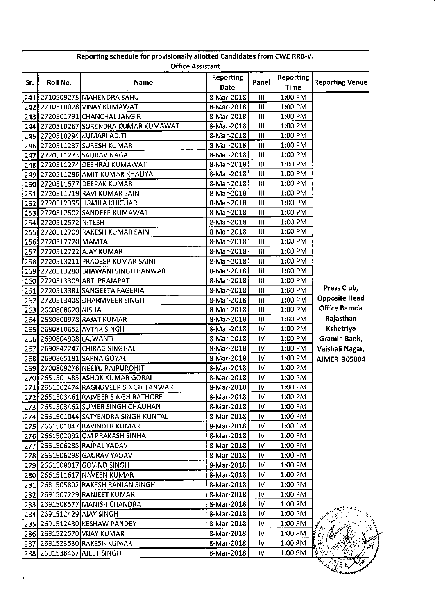|     | Reporting schedule for provisionally allotted Candidates from CWE RRB-VI<br><b>Office Assistant</b> |                                         |                          |                |                                 |                        |  |  |
|-----|-----------------------------------------------------------------------------------------------------|-----------------------------------------|--------------------------|----------------|---------------------------------|------------------------|--|--|
| Sr. | Roll No.                                                                                            | Name                                    | <b>Reporting</b><br>Date | Panel          | <b>Reporting</b><br><b>Time</b> | <b>Reporting Venue</b> |  |  |
|     |                                                                                                     | 241 2710509275 MAHENDRA SAHU            | 8-Mar-2018               | Ш              | 1:00 PM                         |                        |  |  |
|     |                                                                                                     | 242 2710510028 VINAY KUMAWAT            | 8-Mar-2018               | $\mathbf{III}$ | $1:00$ PM                       |                        |  |  |
|     |                                                                                                     | 243 2720501791 CHANCHAL JANGIR          | 8-Mar-2018               | Ш              | 1:00 PM                         |                        |  |  |
|     |                                                                                                     | 244 2720510267 SURENDRA KUMAR KUMAWAT   | 8-Mar-2018               | Ш              | 1:00 PM                         |                        |  |  |
|     |                                                                                                     | 245 2720510294 KUMARI ADITI             | 8-Mar-2018               | Ш              | 1:00 PM                         |                        |  |  |
|     |                                                                                                     | 246 2720511237 SURESH KUMAR             | 8-Mar-2018               | Ш              | 1:00 PM                         |                        |  |  |
| 247 |                                                                                                     | 2720511273 SAURAV NAGAL                 | 8-Mar-2018               | $\mathbf{H}$   | 1:00 PM                         |                        |  |  |
|     |                                                                                                     | 248 2720511274 DESHRAJ KUMAWAT          | 8-Mar-2018               | 11             | 1:00 PM                         |                        |  |  |
|     |                                                                                                     | 249 2720511286 AMIT KUMAR KHALIYA       | 8-Mar-2018               | Ш              | 1:00 PM                         |                        |  |  |
|     |                                                                                                     | 250 2720511577 DEEPAK KUMAR             | 8-Mar-2018               | $\mathbf{H}$   | 1:00 PM                         |                        |  |  |
|     |                                                                                                     | 251 2720511719 RAVI KUMAR SAINI         | 8-Mar-2018               | 11             | 1:00 PM                         |                        |  |  |
|     |                                                                                                     | 252 2720512395 URMILA KHICHAR           | 8-Mar-2018               | Ш              | 1:00 PM                         |                        |  |  |
|     |                                                                                                     | 253 2720512502 SANDEEP KUMAWAT          | 8-Mar-2018               | Ш              | 1:00 PM                         |                        |  |  |
|     | 254 2720512572 NITESH                                                                               |                                         | 8-Mar-2018               | Ш              | 1:00 PM                         |                        |  |  |
|     |                                                                                                     | 255 2720512709 RAKESH KUMAR SAINI       | 8-Mar-2018               | Ш              | 1:00 PM                         |                        |  |  |
|     | 256 2720512720 MAMTA                                                                                |                                         | 8-Mar-2018               | Ш              | 1:00 PM                         |                        |  |  |
|     |                                                                                                     | 257 2720512722 AJAY KUMAR               | 8-Mar-2018               | $\mathbf{H}$   | 1:00 PM                         |                        |  |  |
|     |                                                                                                     | 258 2720513211 PRADEEP KUMAR SAINI      | 8-Mar-2018               | Ш              | 1:00 PM                         |                        |  |  |
|     |                                                                                                     | 259 2720513280 BHAWANI SINGH PANWAR     | 8-Mar-2018               | $\mathbf{H}$   | 1:00 PM                         |                        |  |  |
|     |                                                                                                     | 260 2720513309 ARTI PRAJAPAT            | 8-Mar-2018               | Ш              | 1:00 PM                         |                        |  |  |
|     |                                                                                                     | 261 2720513381 SANGEETA FAGERIA         | 8-Mar-2018               | $\mathbf{H}$   | 1:00 PM                         | Press Club,            |  |  |
|     |                                                                                                     | 262 2720513408 DHARMVEER SINGH          | 8-Mar-2018               | Ш              | 1:00 PM                         | <b>Opposite Head</b>   |  |  |
|     | 263 2660808620 NISHA                                                                                |                                         | 8-Mar-2018               | Ш              | 1:00 PM                         | Office Baroda          |  |  |
|     |                                                                                                     | 264 2680800978 RAJAT KUMAR              | 8-Mar-2018               | Ш              | 1:00 PM                         | Rajasthan              |  |  |
|     |                                                                                                     | 265 2680810652 AVTAR SINGH              | 8-Mar-2018               | IV             | 1:00 PM                         | Kshetriya              |  |  |
|     | 266 2690804908 LAJWANTI                                                                             |                                         | 8-Mar-2018               | IV             | $1:00$ PM                       | Gramin Bank,           |  |  |
| 267 |                                                                                                     | 2690842247 CHIRAG SINGHAL               | 8-Mar-2018               | IV             | $1:00$ PM                       | Vaishali Nagar,        |  |  |
|     |                                                                                                     | 268 2690865181 SAPNA GOYAL              | 8-Mar-2018               | IV             | 1:00 PM                         | <b>AJMER 305004</b>    |  |  |
|     |                                                                                                     | 269 2700809276 NEETU RAJPUROHIT         | 8-Mar-2018               | IV             | 1:00 PM                         |                        |  |  |
|     |                                                                                                     | 270 2651501483 ASHOK KUMAR GORAL        | 8-Mar-2018               | $\overline{W}$ | $1:00$ PM                       |                        |  |  |
|     |                                                                                                     | 271 2651502474 RAGHUVEER SINGH TANWAR   | 8-Mar-2018               | IV             | 1:00 PM                         |                        |  |  |
|     |                                                                                                     | 272 2651503461 RAJVEER SINGH RATHORE    | 8-Mar-2018               | IV.            | 1:00 PM                         |                        |  |  |
|     |                                                                                                     | 273 2651503462 SUMER SINGH CHAUHAN      | 8-Mar-2018               | IV.            | $1:00$ PM                       |                        |  |  |
|     |                                                                                                     | 274   2661501044 SATYENDRA SINGH KUNTAL | 8-Mar-2018               | IV.            | 1:00 PM                         |                        |  |  |
|     |                                                                                                     | 275 2661501047 RAVINDER KUMAR           | 8-Mar-2018               | I۷             | 1:00 PM                         |                        |  |  |
|     |                                                                                                     | 276 2661502092 OM PRAKASH SINHA         | 8-Mar-2018               | IV.            | 1:00 PM                         |                        |  |  |
|     |                                                                                                     | 277 2661506288 RAJPAL YADAV             | 8-Mar-2018               | IV             | 1:00 PM                         |                        |  |  |
|     |                                                                                                     | 278 2661506298 GAURAV YADAV             | 8-Mar-2018               | IV.            | 1:00 PM                         |                        |  |  |
|     |                                                                                                     | 279 2661508017 GOVIND SINGH             | 8-Mar-2018               | IV.            | $1:00$ PM                       |                        |  |  |
|     |                                                                                                     | 280 2661511617 NAVEEN KUMAR             | 8-Mar-2018               | IV             | 1:00 PM                         |                        |  |  |
|     |                                                                                                     | 281 2681505802 RAKESH RANJAN SINGH      | 8-Mar-2018               | IV             | 1:00 PM                         |                        |  |  |
|     |                                                                                                     | 282 2691507229 RANJEET KUMAR            | 8-Mar-2018               | IV.            | 1:00 PM                         |                        |  |  |
|     |                                                                                                     | 283 2691508577 MANISH CHANDRA           | 8-Mar-2018               | IV.            | 1:00 PM                         |                        |  |  |
|     | 284 2691512429 AJAY SINGH                                                                           |                                         | 8-Mar-2018               | I۷             | 1:00 PM                         |                        |  |  |
|     |                                                                                                     | 285 2691512430 KESHAW PANDEY            | 8-Mar-2018               | IV             | 1:00 PM                         |                        |  |  |
|     |                                                                                                     | 286 2691522570 VIJAY KUMAR              | 8-Mar-2018               | IV.            | 1:00 PM                         |                        |  |  |
|     |                                                                                                     | 287 2691523530 RAKESH KUMAR             | 8-Mar-2018               | IV.            | 1:00 PM                         |                        |  |  |
|     | 288 2691538467 AJEET SINGH                                                                          |                                         | 8-Mar-2018               | IV.            | 1:00 PM                         |                        |  |  |
|     |                                                                                                     |                                         |                          |                |                                 |                        |  |  |
|     |                                                                                                     |                                         |                          |                |                                 |                        |  |  |

 $\frac{1}{2}$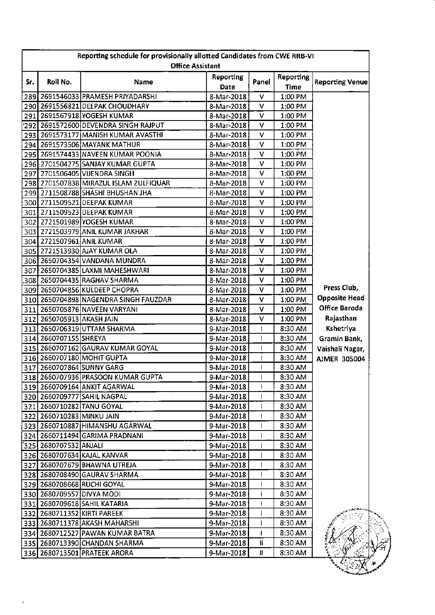|     |                           | Reporting schedule for provisionally allotted Candidates from CWE RRB-VI |                          |       |                                 |                        |
|-----|---------------------------|--------------------------------------------------------------------------|--------------------------|-------|---------------------------------|------------------------|
|     |                           | <b>Office Assistant</b>                                                  |                          |       |                                 |                        |
| Sr. | Roll No.                  | Name                                                                     | <b>Reporting</b><br>Date | Panel | <b>Reporting</b><br><b>Time</b> | <b>Reporting Venue</b> |
|     |                           | 289 2691546033 PRAMESH PRIYADARSHI                                       | 8-Mar-2018               | v     | 1:00 PM                         |                        |
|     |                           | 290 2691556821 DEEPAK CHOUDHARY                                          | 8-Mar-2018               | v     | 1:00 PM                         |                        |
|     |                           | 291 2691567918 YOGESH KUMAR                                              | 8-Mar-2018               | V     | 1:00 PM                         |                        |
|     |                           | 292 2691572600 DEVENDRA SINGH RAJPUT!                                    | 8-Mar-2018               | ۷     | $1:00$ PM                       |                        |
|     |                           | 293 2691573177 MANISH KUMAR AVASTHI                                      | 8-Mar-2018               | v     | 1:00 PM                         |                        |
|     |                           | 294 2691573506 MAYANK MATHUR                                             | 8-Mar-2018               | v     | 1:00 PM                         |                        |
|     |                           | 295 2691574433 NAVEEN KUMAR POONIA                                       | 8-Mar-2018               | v     | 1:00 PM                         |                        |
|     |                           | 296 2701504275 SANJAY KUMAR GUPTA                                        | 8-Mar-2018               | v     | 1:00 PM                         |                        |
|     |                           | 297 2701506405 VIJENDRA SINGH                                            | 8-Mar-2018               | ۷     | 1:00 PM                         |                        |
|     |                           | 298 2701507838 MIRAZUL ISLAM ZULFIQUAR                                   | 8-Mar-2018               | v     | 1:00 PM                         |                        |
|     |                           | 299 2711508788 SHASHI BHUSHAN JHA                                        | 8-Mar-2018               | V     | 1:00 PM                         |                        |
|     |                           | 300 2711509521 DEEPAK KUMAR                                              | 8-Mar-2018               | v     | 1:00 PM                         |                        |
|     |                           | 301 2711509523 DEEPAK KUMAR                                              | 8-Mar-2018               | V     | 1:00 PM                         |                        |
|     |                           | 302 2721501989 YOGESH KUMAR                                              | 8-Mar-2018               | V     | 1:00 PM                         |                        |
|     |                           | 303 2721503979 ANIL KUMAR JAKHAR                                         | 8-Mar-2018               | ٧     | 1:00 PM                         |                        |
|     |                           | 304 2721507961 ANIL KUMAR                                                | 8-Mar-2018               | ٧     | 1:00 PM                         |                        |
|     |                           | 305 2721513930 AJAY KUMAR OLA                                            | 8-Mar-2018               | V     | 1:00 PM                         |                        |
|     |                           | 306 2650704354 VANDANA MUNDRA                                            | 8-Mar-2018               | ٧     | 1:00 PM                         |                        |
|     |                           | 307 2650704385 LAXMI MAHESHWARI                                          | 8-Mar-2018               | ν     | $1:00$ PM                       |                        |
|     |                           | 308 2650704435 RAGHAV SHARMA                                             | 8-Mar-2018               | V     | 1:00 PM                         |                        |
|     |                           | 309 2650704856 KULDEEP CHOPRA                                            | 8-Mar-2018               | v     | 1:00 PM                         | Press Club,            |
|     |                           | 310 2650704898 NAGENDRA SINGH FAUZDAR                                    | 8-Mar-2018               | V     | 1:00 PM                         | <b>Opposite Head</b>   |
|     |                           | 311 2650705876 NAVEEN VARYANI                                            | 8-Mar-2018               | v     | 1:00 PM                         | Office Baroda          |
|     | 312 2650705913 AKASH JAIN |                                                                          | 8-Mar-2018               | ٧     | 1:00 PM                         | Rajasthan              |
|     |                           | 313 2650706319 UTTAM SHARMA                                              | 9-Mar-2018               | t     | 8:30 AM                         | Kshetriya              |
|     | 314 2660707155 SHREYA     |                                                                          | 9-Mar-2018               |       |                                 |                        |
|     |                           | 315 2660707162 GAURAV KUMAR GOYAL                                        |                          |       | 8:30 AM                         | Gramin Bank,           |
|     |                           |                                                                          | 9-Mar-2018               |       | 8:30 AM                         | Vaishali Nagar,        |
|     |                           | 316 2660707180 MOHIT GUPTA                                               | 9-Mar-2018               |       | 8:30 AM                         | <b>AJMER 305004</b>    |
|     |                           | 317 2660707864 SUNNY GARG                                                | 9-Mar-2018               | 1     | 8:30 AM                         |                        |
|     |                           | 318 2660707936 PRASOON KUMAR GUPTA                                       | 9-Mar-2018               |       | 8:30 AM                         |                        |
|     |                           | 319 2660709164 ANKIT AGARWAL                                             | 9-Mar-2018               | L     | 8:30 AM                         |                        |
|     |                           | 320 2660709777 SAHIL NAGPAL                                              | 9-Mar-2018               |       | 8:30 AM                         |                        |
|     |                           | 321 2660710282 TANU GOYAL                                                | 9-Mar-2018               |       | 8:30 AM                         |                        |
|     | 322 2660710283 MINKU JAIN |                                                                          | 9-Mar-2018               |       | 8:30 AM                         |                        |
|     |                           | 323 2660710887 HIMANSHU AGARWAL                                          | 9-Mar-2018               |       | 8:30 AM                         |                        |
|     |                           | 324 2660711494 GARIMA PRADNANI                                           | 9-Mar-2018               |       | 8:30 AM                         |                        |
|     | 325 2680707532 ANJALI     |                                                                          | 9-Mar-2018               |       | 8:30 AM                         |                        |
|     |                           | 326 2680707634 KAJAL KANVAR                                              | 9-Mar-2018               |       | 8:30 AM                         |                        |
|     |                           | 327 2680707679 BHAWNA UTREJA                                             | 9-Mar-2018               |       | 8:30 AM                         |                        |
|     |                           | 328 2680708490 GAURAV SHARMA                                             | 9-Mar-2018               |       | 8:30 AM                         |                        |
|     |                           | 329 2680708668 RUCHI GOYAL                                               | 9-Mar-2018               |       | 8:30 AM                         |                        |
|     | 330 2680709557 DIVYA MODI |                                                                          | 9-Mar-2018               |       | 8:30 AM                         |                        |
|     |                           | 331   2680709618   SAHIL KATARIA                                         | 9-Mar-2018               |       | 8:30 AM                         |                        |
|     |                           | 332 2680711352 KIRTI PAREEK                                              | 9-Mar-2018               |       | 8:30 AM                         |                        |
|     |                           | 333  2680711378 AKASH MAHARSHI                                           | 9-Mar-2018               | 1     | 8:30 AM                         |                        |
|     |                           | 334   2680712527   PAWAN KUMAR BATRA                                     | 9-Mar-2018               | L     | 8:30 AM                         |                        |
|     |                           | 335 2680713390 CHANDAN SHARMA                                            | 9-Mar-2018               | Ш.    | 8:30 AM                         |                        |
|     |                           | 336  2680713501  PRATEEK ARORA                                           | 9-Mar-2018               | Ш     | 8:30 AM                         |                        |

 $\bar{\mathbf{r}}$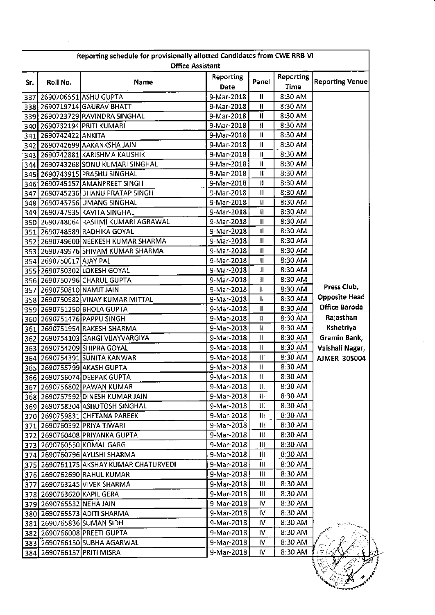| Roll No.<br>341 2690742422 ANKITA<br>354 2690750017 AJAY PAL<br>359 2690751250 BHOLA GUPTA | <b>Office Assistant</b><br>Name<br>337 2690706551 ASHU GUPTA<br>338 2690719714 GAURAV BHATT<br>339 2690723729 RAVINDRA SINGHAL<br>340 2690732194 PRITI KUMARI<br>342 2690742699 AAKANKSHA JAIN<br>343 2690742881 KARISHMA KAUSHIK<br>344 2690743268 SONU KUMARI SINGHAL<br>345 2690743915 PRASHU SINGHAL<br>346 2690745157 AMANPREET SINGH<br>347 2690745236 BHANU PRATAP SINGH<br>348 2690745756 UMANG SINGHAL<br>349 2690747935 KAVITA SINGHAL<br>350 2690748064 RASHMI KUMARI AGRAWAL<br>351 2690748589 RADHIKA GOYAL<br>352 2690749600 NEEKESH KUMAR SHARMA<br>353 2690749976 SHIVAM KUMAR SHARMA<br>355 2690750302 LOKESH GOYAL<br>356 2690750796 CHARUL GUPTA<br>357 2690750810 NAMIT JAIN<br>358 2690750982 VINAY KUMAR MITTAL | <b>Reporting</b><br>Date<br>9-Mar-2018<br>9-Mar-2018<br>9-Mar-2018<br>9-Mar-2018<br>9-Mar-2018<br>9-Mar-2018<br>9-Mar-2018<br>9-Mar-2018<br>9-Mar-2018<br>9-Mar-2018<br>9-Mar-2018<br>9-Mar-2018<br>9-Mar-2018<br>9-Mar-2018<br>9-Mar-2018<br>9-Mar-2018<br>9-Mar-2018<br>9-Mar-2018<br>9-Mar-2018<br>9-Mar-2018                                                                                                                                                                                                                                                                                                                                                                                                         | Panel<br>$\mathbf{I}$<br>H<br>$\mathbf{I}$<br>$\mathbf{I}$<br>Ш<br>Ш<br>Ш<br>Ш<br>Ш<br>Π<br>$\vert$<br>$\mathbf{H}$<br>Ħ<br>п<br>$\mathbf{I}$<br>П<br>$\mathbf{I}$<br>Ш<br>$\mathbf{I}$ | Reporting<br>Time<br>8:30 AM<br>8:30 AM<br>8:30 AM<br>8:30 AM<br>8:30 AM<br>8:30 AM<br>8:30 AM<br>8:30 AM<br>8:30 AM<br>8:30 AM<br>8:30 AM<br>8:30 AM<br>8:30 AM<br>8:30 AM<br>8:30 AM<br>8:30 AM<br>8:30 AM<br>8:30 AM<br>8:30 AM                                                                                                                      | <b>Reporting Venue</b>                                                                                                                                 |
|--------------------------------------------------------------------------------------------|---------------------------------------------------------------------------------------------------------------------------------------------------------------------------------------------------------------------------------------------------------------------------------------------------------------------------------------------------------------------------------------------------------------------------------------------------------------------------------------------------------------------------------------------------------------------------------------------------------------------------------------------------------------------------------------------------------------------------------------|--------------------------------------------------------------------------------------------------------------------------------------------------------------------------------------------------------------------------------------------------------------------------------------------------------------------------------------------------------------------------------------------------------------------------------------------------------------------------------------------------------------------------------------------------------------------------------------------------------------------------------------------------------------------------------------------------------------------------|-----------------------------------------------------------------------------------------------------------------------------------------------------------------------------------------|---------------------------------------------------------------------------------------------------------------------------------------------------------------------------------------------------------------------------------------------------------------------------------------------------------------------------------------------------------|--------------------------------------------------------------------------------------------------------------------------------------------------------|
|                                                                                            |                                                                                                                                                                                                                                                                                                                                                                                                                                                                                                                                                                                                                                                                                                                                       |                                                                                                                                                                                                                                                                                                                                                                                                                                                                                                                                                                                                                                                                                                                          |                                                                                                                                                                                         |                                                                                                                                                                                                                                                                                                                                                         |                                                                                                                                                        |
|                                                                                            |                                                                                                                                                                                                                                                                                                                                                                                                                                                                                                                                                                                                                                                                                                                                       |                                                                                                                                                                                                                                                                                                                                                                                                                                                                                                                                                                                                                                                                                                                          |                                                                                                                                                                                         |                                                                                                                                                                                                                                                                                                                                                         |                                                                                                                                                        |
|                                                                                            |                                                                                                                                                                                                                                                                                                                                                                                                                                                                                                                                                                                                                                                                                                                                       |                                                                                                                                                                                                                                                                                                                                                                                                                                                                                                                                                                                                                                                                                                                          |                                                                                                                                                                                         |                                                                                                                                                                                                                                                                                                                                                         |                                                                                                                                                        |
|                                                                                            |                                                                                                                                                                                                                                                                                                                                                                                                                                                                                                                                                                                                                                                                                                                                       |                                                                                                                                                                                                                                                                                                                                                                                                                                                                                                                                                                                                                                                                                                                          |                                                                                                                                                                                         |                                                                                                                                                                                                                                                                                                                                                         |                                                                                                                                                        |
|                                                                                            |                                                                                                                                                                                                                                                                                                                                                                                                                                                                                                                                                                                                                                                                                                                                       |                                                                                                                                                                                                                                                                                                                                                                                                                                                                                                                                                                                                                                                                                                                          |                                                                                                                                                                                         |                                                                                                                                                                                                                                                                                                                                                         |                                                                                                                                                        |
|                                                                                            |                                                                                                                                                                                                                                                                                                                                                                                                                                                                                                                                                                                                                                                                                                                                       |                                                                                                                                                                                                                                                                                                                                                                                                                                                                                                                                                                                                                                                                                                                          |                                                                                                                                                                                         |                                                                                                                                                                                                                                                                                                                                                         |                                                                                                                                                        |
|                                                                                            |                                                                                                                                                                                                                                                                                                                                                                                                                                                                                                                                                                                                                                                                                                                                       |                                                                                                                                                                                                                                                                                                                                                                                                                                                                                                                                                                                                                                                                                                                          |                                                                                                                                                                                         |                                                                                                                                                                                                                                                                                                                                                         |                                                                                                                                                        |
|                                                                                            |                                                                                                                                                                                                                                                                                                                                                                                                                                                                                                                                                                                                                                                                                                                                       |                                                                                                                                                                                                                                                                                                                                                                                                                                                                                                                                                                                                                                                                                                                          |                                                                                                                                                                                         |                                                                                                                                                                                                                                                                                                                                                         |                                                                                                                                                        |
|                                                                                            |                                                                                                                                                                                                                                                                                                                                                                                                                                                                                                                                                                                                                                                                                                                                       |                                                                                                                                                                                                                                                                                                                                                                                                                                                                                                                                                                                                                                                                                                                          |                                                                                                                                                                                         |                                                                                                                                                                                                                                                                                                                                                         |                                                                                                                                                        |
|                                                                                            |                                                                                                                                                                                                                                                                                                                                                                                                                                                                                                                                                                                                                                                                                                                                       |                                                                                                                                                                                                                                                                                                                                                                                                                                                                                                                                                                                                                                                                                                                          |                                                                                                                                                                                         |                                                                                                                                                                                                                                                                                                                                                         |                                                                                                                                                        |
|                                                                                            |                                                                                                                                                                                                                                                                                                                                                                                                                                                                                                                                                                                                                                                                                                                                       |                                                                                                                                                                                                                                                                                                                                                                                                                                                                                                                                                                                                                                                                                                                          |                                                                                                                                                                                         |                                                                                                                                                                                                                                                                                                                                                         |                                                                                                                                                        |
|                                                                                            |                                                                                                                                                                                                                                                                                                                                                                                                                                                                                                                                                                                                                                                                                                                                       |                                                                                                                                                                                                                                                                                                                                                                                                                                                                                                                                                                                                                                                                                                                          |                                                                                                                                                                                         |                                                                                                                                                                                                                                                                                                                                                         |                                                                                                                                                        |
|                                                                                            |                                                                                                                                                                                                                                                                                                                                                                                                                                                                                                                                                                                                                                                                                                                                       |                                                                                                                                                                                                                                                                                                                                                                                                                                                                                                                                                                                                                                                                                                                          |                                                                                                                                                                                         |                                                                                                                                                                                                                                                                                                                                                         |                                                                                                                                                        |
|                                                                                            |                                                                                                                                                                                                                                                                                                                                                                                                                                                                                                                                                                                                                                                                                                                                       |                                                                                                                                                                                                                                                                                                                                                                                                                                                                                                                                                                                                                                                                                                                          |                                                                                                                                                                                         |                                                                                                                                                                                                                                                                                                                                                         |                                                                                                                                                        |
|                                                                                            |                                                                                                                                                                                                                                                                                                                                                                                                                                                                                                                                                                                                                                                                                                                                       |                                                                                                                                                                                                                                                                                                                                                                                                                                                                                                                                                                                                                                                                                                                          |                                                                                                                                                                                         |                                                                                                                                                                                                                                                                                                                                                         |                                                                                                                                                        |
|                                                                                            |                                                                                                                                                                                                                                                                                                                                                                                                                                                                                                                                                                                                                                                                                                                                       |                                                                                                                                                                                                                                                                                                                                                                                                                                                                                                                                                                                                                                                                                                                          |                                                                                                                                                                                         |                                                                                                                                                                                                                                                                                                                                                         |                                                                                                                                                        |
|                                                                                            |                                                                                                                                                                                                                                                                                                                                                                                                                                                                                                                                                                                                                                                                                                                                       |                                                                                                                                                                                                                                                                                                                                                                                                                                                                                                                                                                                                                                                                                                                          |                                                                                                                                                                                         |                                                                                                                                                                                                                                                                                                                                                         |                                                                                                                                                        |
|                                                                                            |                                                                                                                                                                                                                                                                                                                                                                                                                                                                                                                                                                                                                                                                                                                                       |                                                                                                                                                                                                                                                                                                                                                                                                                                                                                                                                                                                                                                                                                                                          |                                                                                                                                                                                         |                                                                                                                                                                                                                                                                                                                                                         |                                                                                                                                                        |
|                                                                                            |                                                                                                                                                                                                                                                                                                                                                                                                                                                                                                                                                                                                                                                                                                                                       |                                                                                                                                                                                                                                                                                                                                                                                                                                                                                                                                                                                                                                                                                                                          |                                                                                                                                                                                         |                                                                                                                                                                                                                                                                                                                                                         |                                                                                                                                                        |
|                                                                                            |                                                                                                                                                                                                                                                                                                                                                                                                                                                                                                                                                                                                                                                                                                                                       |                                                                                                                                                                                                                                                                                                                                                                                                                                                                                                                                                                                                                                                                                                                          |                                                                                                                                                                                         |                                                                                                                                                                                                                                                                                                                                                         |                                                                                                                                                        |
|                                                                                            |                                                                                                                                                                                                                                                                                                                                                                                                                                                                                                                                                                                                                                                                                                                                       |                                                                                                                                                                                                                                                                                                                                                                                                                                                                                                                                                                                                                                                                                                                          | Ħ                                                                                                                                                                                       | 8:30 AM                                                                                                                                                                                                                                                                                                                                                 |                                                                                                                                                        |
|                                                                                            |                                                                                                                                                                                                                                                                                                                                                                                                                                                                                                                                                                                                                                                                                                                                       | 9-Mar-2018                                                                                                                                                                                                                                                                                                                                                                                                                                                                                                                                                                                                                                                                                                               | Ш                                                                                                                                                                                       | 8:30 AM                                                                                                                                                                                                                                                                                                                                                 | Press Club,                                                                                                                                            |
|                                                                                            |                                                                                                                                                                                                                                                                                                                                                                                                                                                                                                                                                                                                                                                                                                                                       | 9-Mar-2018                                                                                                                                                                                                                                                                                                                                                                                                                                                                                                                                                                                                                                                                                                               | Ш                                                                                                                                                                                       | 8:30 AM                                                                                                                                                                                                                                                                                                                                                 | <b>Opposite Head</b>                                                                                                                                   |
|                                                                                            |                                                                                                                                                                                                                                                                                                                                                                                                                                                                                                                                                                                                                                                                                                                                       | 9-Mar-2018                                                                                                                                                                                                                                                                                                                                                                                                                                                                                                                                                                                                                                                                                                               | Ш                                                                                                                                                                                       | 8:30 AM                                                                                                                                                                                                                                                                                                                                                 | Office Baroda                                                                                                                                          |
|                                                                                            | 360 2690751476 PAPPU SINGH                                                                                                                                                                                                                                                                                                                                                                                                                                                                                                                                                                                                                                                                                                            | 9-Mar-2018                                                                                                                                                                                                                                                                                                                                                                                                                                                                                                                                                                                                                                                                                                               | $\mathbf{m}$                                                                                                                                                                            | 8:30 AM                                                                                                                                                                                                                                                                                                                                                 | Rajasthan                                                                                                                                              |
|                                                                                            |                                                                                                                                                                                                                                                                                                                                                                                                                                                                                                                                                                                                                                                                                                                                       | 9-Mar-2018                                                                                                                                                                                                                                                                                                                                                                                                                                                                                                                                                                                                                                                                                                               | Ш                                                                                                                                                                                       | 8:30 AM                                                                                                                                                                                                                                                                                                                                                 | Kshetriya                                                                                                                                              |
|                                                                                            | 361 2690751954 RAKESH SHARMA                                                                                                                                                                                                                                                                                                                                                                                                                                                                                                                                                                                                                                                                                                          |                                                                                                                                                                                                                                                                                                                                                                                                                                                                                                                                                                                                                                                                                                                          | Ш                                                                                                                                                                                       | 8:30 AM                                                                                                                                                                                                                                                                                                                                                 | Gramin Bank,                                                                                                                                           |
|                                                                                            | 362 2690754103 GARGI VIJAYVARGIYA                                                                                                                                                                                                                                                                                                                                                                                                                                                                                                                                                                                                                                                                                                     | 9-Mar-2018                                                                                                                                                                                                                                                                                                                                                                                                                                                                                                                                                                                                                                                                                                               |                                                                                                                                                                                         |                                                                                                                                                                                                                                                                                                                                                         |                                                                                                                                                        |
|                                                                                            |                                                                                                                                                                                                                                                                                                                                                                                                                                                                                                                                                                                                                                                                                                                                       |                                                                                                                                                                                                                                                                                                                                                                                                                                                                                                                                                                                                                                                                                                                          |                                                                                                                                                                                         |                                                                                                                                                                                                                                                                                                                                                         | Vaishali Nagar,                                                                                                                                        |
|                                                                                            |                                                                                                                                                                                                                                                                                                                                                                                                                                                                                                                                                                                                                                                                                                                                       |                                                                                                                                                                                                                                                                                                                                                                                                                                                                                                                                                                                                                                                                                                                          |                                                                                                                                                                                         |                                                                                                                                                                                                                                                                                                                                                         | <b>AJMER 305004</b>                                                                                                                                    |
|                                                                                            |                                                                                                                                                                                                                                                                                                                                                                                                                                                                                                                                                                                                                                                                                                                                       |                                                                                                                                                                                                                                                                                                                                                                                                                                                                                                                                                                                                                                                                                                                          |                                                                                                                                                                                         |                                                                                                                                                                                                                                                                                                                                                         |                                                                                                                                                        |
|                                                                                            |                                                                                                                                                                                                                                                                                                                                                                                                                                                                                                                                                                                                                                                                                                                                       |                                                                                                                                                                                                                                                                                                                                                                                                                                                                                                                                                                                                                                                                                                                          |                                                                                                                                                                                         |                                                                                                                                                                                                                                                                                                                                                         |                                                                                                                                                        |
|                                                                                            |                                                                                                                                                                                                                                                                                                                                                                                                                                                                                                                                                                                                                                                                                                                                       |                                                                                                                                                                                                                                                                                                                                                                                                                                                                                                                                                                                                                                                                                                                          |                                                                                                                                                                                         |                                                                                                                                                                                                                                                                                                                                                         |                                                                                                                                                        |
|                                                                                            |                                                                                                                                                                                                                                                                                                                                                                                                                                                                                                                                                                                                                                                                                                                                       |                                                                                                                                                                                                                                                                                                                                                                                                                                                                                                                                                                                                                                                                                                                          |                                                                                                                                                                                         |                                                                                                                                                                                                                                                                                                                                                         |                                                                                                                                                        |
|                                                                                            |                                                                                                                                                                                                                                                                                                                                                                                                                                                                                                                                                                                                                                                                                                                                       |                                                                                                                                                                                                                                                                                                                                                                                                                                                                                                                                                                                                                                                                                                                          |                                                                                                                                                                                         |                                                                                                                                                                                                                                                                                                                                                         |                                                                                                                                                        |
|                                                                                            |                                                                                                                                                                                                                                                                                                                                                                                                                                                                                                                                                                                                                                                                                                                                       |                                                                                                                                                                                                                                                                                                                                                                                                                                                                                                                                                                                                                                                                                                                          |                                                                                                                                                                                         |                                                                                                                                                                                                                                                                                                                                                         |                                                                                                                                                        |
|                                                                                            |                                                                                                                                                                                                                                                                                                                                                                                                                                                                                                                                                                                                                                                                                                                                       |                                                                                                                                                                                                                                                                                                                                                                                                                                                                                                                                                                                                                                                                                                                          |                                                                                                                                                                                         |                                                                                                                                                                                                                                                                                                                                                         |                                                                                                                                                        |
|                                                                                            |                                                                                                                                                                                                                                                                                                                                                                                                                                                                                                                                                                                                                                                                                                                                       |                                                                                                                                                                                                                                                                                                                                                                                                                                                                                                                                                                                                                                                                                                                          |                                                                                                                                                                                         |                                                                                                                                                                                                                                                                                                                                                         |                                                                                                                                                        |
|                                                                                            |                                                                                                                                                                                                                                                                                                                                                                                                                                                                                                                                                                                                                                                                                                                                       |                                                                                                                                                                                                                                                                                                                                                                                                                                                                                                                                                                                                                                                                                                                          |                                                                                                                                                                                         |                                                                                                                                                                                                                                                                                                                                                         |                                                                                                                                                        |
|                                                                                            |                                                                                                                                                                                                                                                                                                                                                                                                                                                                                                                                                                                                                                                                                                                                       |                                                                                                                                                                                                                                                                                                                                                                                                                                                                                                                                                                                                                                                                                                                          |                                                                                                                                                                                         |                                                                                                                                                                                                                                                                                                                                                         |                                                                                                                                                        |
|                                                                                            |                                                                                                                                                                                                                                                                                                                                                                                                                                                                                                                                                                                                                                                                                                                                       |                                                                                                                                                                                                                                                                                                                                                                                                                                                                                                                                                                                                                                                                                                                          | Ш                                                                                                                                                                                       |                                                                                                                                                                                                                                                                                                                                                         |                                                                                                                                                        |
|                                                                                            |                                                                                                                                                                                                                                                                                                                                                                                                                                                                                                                                                                                                                                                                                                                                       |                                                                                                                                                                                                                                                                                                                                                                                                                                                                                                                                                                                                                                                                                                                          |                                                                                                                                                                                         |                                                                                                                                                                                                                                                                                                                                                         |                                                                                                                                                        |
|                                                                                            |                                                                                                                                                                                                                                                                                                                                                                                                                                                                                                                                                                                                                                                                                                                                       |                                                                                                                                                                                                                                                                                                                                                                                                                                                                                                                                                                                                                                                                                                                          | Ш                                                                                                                                                                                       | 8:30 AM                                                                                                                                                                                                                                                                                                                                                 |                                                                                                                                                        |
|                                                                                            |                                                                                                                                                                                                                                                                                                                                                                                                                                                                                                                                                                                                                                                                                                                                       |                                                                                                                                                                                                                                                                                                                                                                                                                                                                                                                                                                                                                                                                                                                          | Ш                                                                                                                                                                                       | 8:30 AM                                                                                                                                                                                                                                                                                                                                                 |                                                                                                                                                        |
|                                                                                            |                                                                                                                                                                                                                                                                                                                                                                                                                                                                                                                                                                                                                                                                                                                                       |                                                                                                                                                                                                                                                                                                                                                                                                                                                                                                                                                                                                                                                                                                                          | IV                                                                                                                                                                                      | 8:30 AM                                                                                                                                                                                                                                                                                                                                                 |                                                                                                                                                        |
|                                                                                            |                                                                                                                                                                                                                                                                                                                                                                                                                                                                                                                                                                                                                                                                                                                                       |                                                                                                                                                                                                                                                                                                                                                                                                                                                                                                                                                                                                                                                                                                                          | IV                                                                                                                                                                                      | 8:30 AM                                                                                                                                                                                                                                                                                                                                                 |                                                                                                                                                        |
|                                                                                            |                                                                                                                                                                                                                                                                                                                                                                                                                                                                                                                                                                                                                                                                                                                                       |                                                                                                                                                                                                                                                                                                                                                                                                                                                                                                                                                                                                                                                                                                                          | IV.                                                                                                                                                                                     | 8:30 AM                                                                                                                                                                                                                                                                                                                                                 |                                                                                                                                                        |
|                                                                                            |                                                                                                                                                                                                                                                                                                                                                                                                                                                                                                                                                                                                                                                                                                                                       |                                                                                                                                                                                                                                                                                                                                                                                                                                                                                                                                                                                                                                                                                                                          | IV.                                                                                                                                                                                     | 8:30 AM                                                                                                                                                                                                                                                                                                                                                 |                                                                                                                                                        |
|                                                                                            |                                                                                                                                                                                                                                                                                                                                                                                                                                                                                                                                                                                                                                                                                                                                       |                                                                                                                                                                                                                                                                                                                                                                                                                                                                                                                                                                                                                                                                                                                          | IV                                                                                                                                                                                      | 8:30 AM                                                                                                                                                                                                                                                                                                                                                 |                                                                                                                                                        |
|                                                                                            |                                                                                                                                                                                                                                                                                                                                                                                                                                                                                                                                                                                                                                                                                                                                       |                                                                                                                                                                                                                                                                                                                                                                                                                                                                                                                                                                                                                                                                                                                          | IV.                                                                                                                                                                                     | 8:30 AM                                                                                                                                                                                                                                                                                                                                                 |                                                                                                                                                        |
|                                                                                            |                                                                                                                                                                                                                                                                                                                                                                                                                                                                                                                                                                                                                                                                                                                                       | 363 2690754209 SHIPRA GOYAL<br>364 2690754391 SUNITA KANWAR<br>365 2690755799 AKASH GUPTA<br>366 2690756074 DEEPAK GUPTA<br>367   2690756802 PAWAN KUMAR<br>368 2690757592 DINESH KUMAR JAIN<br>369 2690758304 ASHUTOSH SINGHAL<br>370 2690759831 CHETANA PAREEK<br>371 2690760392 PRIYA TIWARI<br>372 2690760408 PRIYANKA GUPTA<br>373 2690760550 KOMAL GARG<br>374 2690760796 AYUSHI SHARMA<br>375   2690761175 AKSHAY KUMAR CHATURVEDI<br>376 2690762690 RAHUL KUMAR<br>377 2690763245 VIVEK SHARMA<br>378 2690763620 KAPIL GERA<br>379 2690765532 NEHA JAIN<br>380 2690765573 ADITI SHARMA<br>381 2690765836 SUMAN SIDH<br>382 2690766008 PREETI GUPTA<br>383 2690766150 SUBHA AGARWAL<br>384 2690766157 PRITI MISRA | 9-Mar-2018<br>9-Mar-2018                                                                                                                                                                | Ш<br>Ш<br>Ш<br>9-Mar-2018<br>III<br>9-Mar-2018<br>9-Mar-2018<br>Ш<br>9-Mar-2018<br>丗<br>9-Mar-2018<br>Ш<br>Ш<br>9-Mar-2018<br>9-Mar-2018<br>Ш<br>9-Mar-2018<br>Ш<br>9-Mar-2018<br>Ш<br>9-Mar-2018<br>Ш<br>9-Mar-2018<br>9-Mar-2018<br>Ш<br>9-Mar-2018<br>9-Mar-2018<br>9-Mar-2018<br>9-Mar-2018<br>9-Mar-2018<br>9-Mar-2018<br>9-Mar-2018<br>9-Mar-2018 | 8:30 AM<br>8:30 AM<br>8:30 AM<br>8:30 AM<br>8:30 AM<br>8:30 AM<br>8:30 AM<br>8:30 AM<br>8:30 AM<br>8:30 AM<br>8:30 AM<br>8:30 AM<br>8:30 AM<br>8:30 AM |

 $\mathcal{L}_{\mathcal{A}}$ 

 $\label{eq:2.1} \frac{1}{\sqrt{2}}\int_{\mathbb{R}^3}\frac{1}{\sqrt{2}}\left(\frac{1}{\sqrt{2}}\right)^2\frac{1}{\sqrt{2}}\left(\frac{1}{\sqrt{2}}\right)^2\frac{1}{\sqrt{2}}\left(\frac{1}{\sqrt{2}}\right)^2.$